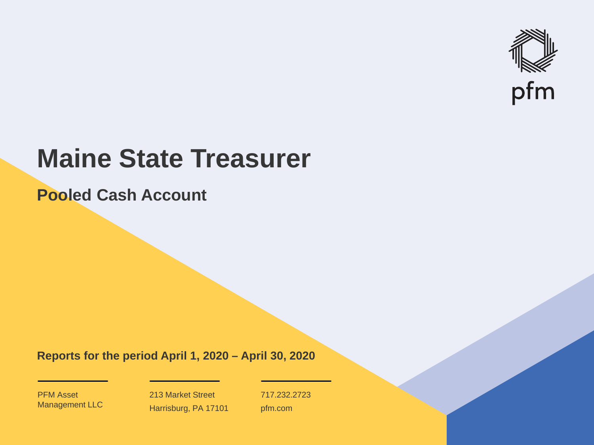

# **Maine State Treasurer**

**Pooled Cash Account**

**Reports for the period April 1, 2020 – April 30, 2020**

PFM Asset Management LLC

213 Market Street Harrisburg, PA 17101 717.232.2723 pfm.com

 $\mathcal{P}_\text{max}$  and  $\mathcal{P}_\text{max}$  is the probability of  $\mathcal{P}_\text{max}$  and  $\mathcal{P}_\text{max}$  and  $\mathcal{P}_\text{max}$  and  $\mathcal{P}_\text{max}$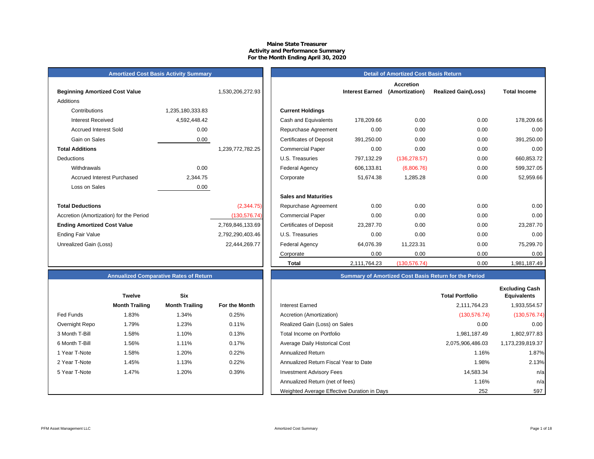### **Maine State Treasurer Activity and Performance Summary For the Month Ending April 30, 2020**

# **Amortized Cost Basis Activity Summary**<br> **Amortized Cost Basis Return**

| <b>Beginning Amortized Cost Value</b>   |                  | 1,530,206,272.93 | <b>Interest Earned</b>                       |
|-----------------------------------------|------------------|------------------|----------------------------------------------|
| Additions                               |                  |                  |                                              |
| Contributions                           | 1,235,180,333.83 |                  | <b>Current Holdings</b>                      |
| <b>Interest Received</b>                | 4,592,448.42     |                  | Cash and Equivalents<br>178,209.66           |
| <b>Accrued Interest Sold</b>            | 0.00             |                  | 0.00<br>Repurchase Agreement                 |
| Gain on Sales                           | 0.00             |                  | <b>Certificates of Deposit</b><br>391,250.00 |
| <b>Total Additions</b>                  |                  | 1,239,772,782.25 | 0.00<br><b>Commercial Paper</b>              |
| <b>Deductions</b>                       |                  |                  | U.S. Treasuries<br>797,132.29                |
| Withdrawals                             | 0.00             |                  | <b>Federal Agency</b><br>606,133.81          |
| Accrued Interest Purchased              | 2,344.75         |                  | 51,674.38<br>Corporate                       |
| Loss on Sales                           | 0.00             |                  |                                              |
|                                         |                  |                  | <b>Sales and Maturities</b>                  |
| <b>Total Deductions</b>                 |                  | (2,344.75)       | 0.00<br>Repurchase Agreement                 |
| Accretion (Amortization) for the Period |                  | (130, 576.74)    | 0.00<br><b>Commercial Paper</b>              |
| <b>Ending Amortized Cost Value</b>      |                  | 2,769,846,133.69 | <b>Certificates of Deposit</b><br>23,287.70  |
| Ending Fair Value                       |                  | 2,792,290,403.46 | U.S. Treasuries<br>0.00                      |
| Unrealized Gain (Loss)                  |                  | 22,444,269.77    | <b>Federal Agency</b><br>64,076.39           |
|                                         |                  |                  |                                              |

|                                         |                  |                  |                                |                        | <b>Accretion</b> |                            |                     |
|-----------------------------------------|------------------|------------------|--------------------------------|------------------------|------------------|----------------------------|---------------------|
| <b>Beginning Amortized Cost Value</b>   |                  | 1,530,206,272.93 |                                | <b>Interest Earned</b> | (Amortization)   | <b>Realized Gain(Loss)</b> | <b>Total Income</b> |
| Additions                               |                  |                  |                                |                        |                  |                            |                     |
| Contributions                           | 1,235,180,333.83 |                  | <b>Current Holdings</b>        |                        |                  |                            |                     |
| <b>Interest Received</b>                | 4,592,448.42     |                  | Cash and Equivalents           | 178,209.66             | 0.00             | 0.00                       | 178,209.66          |
| <b>Accrued Interest Sold</b>            | 0.00             |                  | Repurchase Agreement           | 0.00                   | 0.00             | 0.00                       | 0.00                |
| Gain on Sales                           | 0.00             |                  | <b>Certificates of Deposit</b> | 391,250.00             | 0.00             | 0.00                       | 391,250.00          |
| <b>Total Additions</b>                  |                  | 1,239,772,782.25 | <b>Commercial Paper</b>        | 0.00                   | 0.00             | 0.00                       | 0.00                |
| Deductions                              |                  |                  | U.S. Treasuries                | 797,132.29             | (136, 278.57)    | 0.00                       | 660,853.72          |
| Withdrawals                             | 0.00             |                  | <b>Federal Agency</b>          | 606,133.81             | (6,806.76)       | 0.00                       | 599,327.05          |
| <b>Accrued Interest Purchased</b>       | 2,344.75         |                  | Corporate                      | 51,674.38              | 1,285.28         | 0.00                       | 52,959.66           |
| Loss on Sales                           | 0.00             |                  |                                |                        |                  |                            |                     |
|                                         |                  |                  | <b>Sales and Maturities</b>    |                        |                  |                            |                     |
| <b>Total Deductions</b>                 |                  | (2,344.75)       | Repurchase Agreement           | 0.00                   | 0.00             | 0.00                       | 0.00                |
| Accretion (Amortization) for the Period |                  | (130, 576.74)    | <b>Commercial Paper</b>        | 0.00                   | 0.00             | 0.00                       | 0.00                |
| <b>Ending Amortized Cost Value</b>      |                  | 2,769,846,133.69 | <b>Certificates of Deposit</b> | 23,287.70              | 0.00             | 0.00                       | 23,287.70           |
| Ending Fair Value                       |                  | 2,792,290,403.46 | U.S. Treasuries                | 0.00                   | 0.00             | 0.00                       | 0.00                |
| Unrealized Gain (Loss)                  |                  | 22,444,269.77    | <b>Federal Agency</b>          | 64,076.39              | 11,223.31        | 0.00                       | 75,299.70           |
|                                         |                  |                  | Corporate                      | 0.00                   | 0.00             | 0.00                       | 0.00                |
|                                         |                  |                  | Total                          | 2,111,764.23           | (130, 576.74)    | 0.00                       | 1,981,187.49        |

# **Annualized Comparative Rates of Return Summary of Amortized Cost Basis Return for the Period**

|                | <b>Twelve</b>         | <b>Six</b>            |               |                                             | <b>Total Portfolio</b> | <b>Excluding Cash</b><br><b>Equivalents</b> |
|----------------|-----------------------|-----------------------|---------------|---------------------------------------------|------------------------|---------------------------------------------|
|                | <b>Month Trailing</b> | <b>Month Trailing</b> | For the Month | <b>Interest Earned</b>                      | 2.111.764.23           | 1,933,554.57                                |
| Fed Funds      | 1.83%                 | 1.34%                 | 0.25%         | Accretion (Amortization)                    | (130, 576.74)          | (130, 576.74)                               |
| Overnight Repo | 1.79%                 | 1.23%                 | 0.11%         | Realized Gain (Loss) on Sales               | 0.00                   | 0.00                                        |
| 3 Month T-Bill | 1.58%                 | 1.10%                 | 0.13%         | Total Income on Portfolio                   | 1,981,187.49           | 1,802,977.83                                |
| 6 Month T-Bill | 1.56%                 | 1.11%                 | 0.17%         | Average Daily Historical Cost               | 2,075,906,486.03       | 1,173,239,819.37                            |
| 1 Year T-Note  | 1.58%                 | 20%،                  | 0.22%         | <b>Annualized Return</b>                    | 1.16%                  | 1.87%                                       |
| 2 Year T-Note  | 1.45%                 | 1.13%                 | 0.22%         | Annualized Return Fiscal Year to Date       | 1.98%                  | 2.13%                                       |
| 5 Year T-Note  | 1.47%                 | 20%، ا                | 0.39%         | <b>Investment Advisory Fees</b>             | 14,583.34              | n/a                                         |
|                |                       |                       |               | Annualized Return (net of fees)             | 1.16%                  | n/a                                         |
|                |                       |                       |               | Weighted Average Effective Duration in Days | 252                    | 597                                         |

|                | <b>Twelve</b>         | Six                   |                      |
|----------------|-----------------------|-----------------------|----------------------|
|                | <b>Month Trailing</b> | <b>Month Trailing</b> | <b>For the Month</b> |
| Fed Funds      | 1.83%                 | 1.34%                 | 0.25%                |
| Overnight Repo | 1.79%                 | 1.23%                 | 0.11%                |
| 3 Month T-Bill | 1.58%                 | 1.10%                 | 0.13%                |
| 6 Month T-Bill | 1.56%                 | 1.11%                 | 0.17%                |
| 1 Year T-Note  | 1.58%                 | 1.20%                 | 0.22%                |
| 2 Year T-Note  | 1.45%                 | 1.13%                 | 0.22%                |
| 5 Year T-Note  | 1.47%                 | 1.20%                 | 0.39%                |
|                |                       |                       |                      |
|                |                       |                       |                      |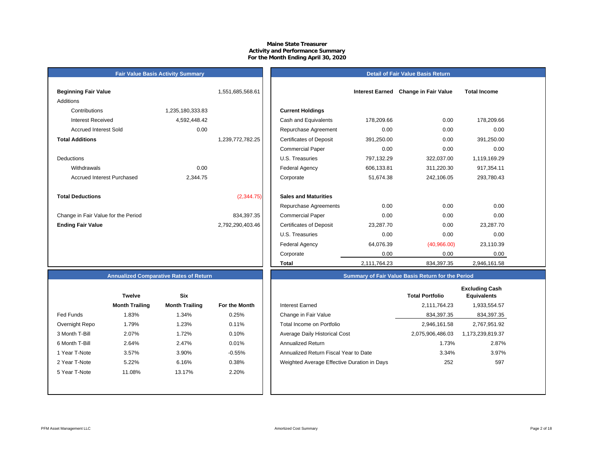### **Maine State Treasurer Activity and Performance Summary For the Month Ending April 30, 2020**

#### **Detail of Fair Value Basis Return**

| <b>Beginning Fair Value</b>         |                  | 1,551,685,568.61 |                                |
|-------------------------------------|------------------|------------------|--------------------------------|
| Additions                           |                  |                  |                                |
| Contributions                       | 1,235,180,333.83 |                  | <b>Current Holdings</b>        |
| <b>Interest Received</b>            | 4,592,448.42     |                  | Cash and Equivalents           |
| <b>Accrued Interest Sold</b>        | 0.00             |                  | Repurchase Agreeme             |
| <b>Total Additions</b>              |                  | 1,239,772,782.25 | <b>Certificates of Deposit</b> |
|                                     |                  |                  | <b>Commercial Paper</b>        |
| <b>Deductions</b>                   |                  |                  | U.S. Treasuries                |
| Withdrawals                         | 0.00             |                  | <b>Federal Agency</b>          |
| Accrued Interest Purchased          | 2,344.75         |                  | Corporate                      |
|                                     |                  |                  |                                |
| <b>Total Deductions</b>             |                  | (2,344.75)       | <b>Sales and Maturities</b>    |
|                                     |                  |                  | Repurchase Agreeme             |
| Change in Fair Value for the Period |                  | 834,397.35       | <b>Commercial Paper</b>        |
| <b>Ending Fair Value</b>            |                  | 2,792,290,403.46 | <b>Certificates of Deposit</b> |
|                                     |                  |                  | U.S. Treasuries                |

**Fair Value Basis Activity Summary**

| Beginning Fair Value                |                  | 1,551,685,568.61 |                                |              | Interest Earned Change in Fair Value | <b>Total Income</b> |  |
|-------------------------------------|------------------|------------------|--------------------------------|--------------|--------------------------------------|---------------------|--|
| Additions                           |                  |                  |                                |              |                                      |                     |  |
| Contributions                       | 1,235,180,333.83 |                  | <b>Current Holdings</b>        |              |                                      |                     |  |
| <b>Interest Received</b>            | 4,592,448.42     |                  | Cash and Equivalents           | 178,209.66   | 0.00                                 | 178,209.66          |  |
| <b>Accrued Interest Sold</b>        | 0.00             |                  | Repurchase Agreement           | 0.00         | 0.00                                 | 0.00                |  |
| <b>Total Additions</b>              |                  | 1,239,772,782.25 | <b>Certificates of Deposit</b> | 391,250.00   | 0.00                                 | 391,250.00          |  |
|                                     |                  |                  | <b>Commercial Paper</b>        | 0.00         | 0.00                                 | 0.00                |  |
| Deductions                          |                  |                  | U.S. Treasuries                | 797,132.29   | 322,037.00                           | 1,119,169.29        |  |
| Withdrawals                         | 0.00             |                  | <b>Federal Agency</b>          | 606,133.81   | 311,220.30                           | 917,354.11          |  |
| <b>Accrued Interest Purchased</b>   | 2,344.75         |                  | Corporate                      | 51,674.38    | 242,106.05                           | 293,780.43          |  |
| <b>Total Deductions</b>             |                  | (2,344.75)       | <b>Sales and Maturities</b>    |              |                                      |                     |  |
|                                     |                  |                  | Repurchase Agreements          | 0.00         | 0.00                                 | 0.00                |  |
| Change in Fair Value for the Period |                  | 834,397.35       | <b>Commercial Paper</b>        | 0.00         | 0.00                                 | 0.00                |  |
| <b>Ending Fair Value</b>            |                  | 2,792,290,403.46 | <b>Certificates of Deposit</b> | 23,287.70    | 0.00                                 | 23,287.70           |  |
|                                     |                  |                  | U.S. Treasuries                | 0.00         | 0.00                                 | 0.00                |  |
|                                     |                  |                  | <b>Federal Agency</b>          | 64,076.39    | (40,966.00)                          | 23,110.39           |  |
|                                     |                  |                  | Corporate                      | 0.00         | 0.00                                 | 0.00                |  |
|                                     |                  |                  | Total                          | 2,111,764.23 | 834,397.35                           | 2,946,161.58        |  |

# **Annualized Comparative Rates of Return**

|                | <b>Twelve</b>         | Six                   |                      |
|----------------|-----------------------|-----------------------|----------------------|
|                | <b>Month Trailing</b> | <b>Month Trailing</b> | <b>For the Month</b> |
| Fed Funds      | 1.83%                 | 1.34%                 | 0.25%                |
| Overnight Repo | 1.79%                 | 1.23%                 | 0.11%                |
| 3 Month T-Bill | 2.07%                 | 1.72%                 | 0.10%                |
| 6 Month T-Bill | 2.64%                 | 2.47%                 | 0.01%                |
| 1 Year T-Note  | 3.57%                 | 3.90%                 | $-0.55%$             |
| 2 Year T-Note  | 5.22%                 | 6.16%                 | 0.38%                |
| 5 Year T-Note  | 11.08%                | 13.17%                | 2.20%                |
|                |                       |                       |                      |
|                |                       |                       |                      |

|                | <b>Twelve</b>         | <b>Six</b>            |               |                                             | <b>Total Portfolio</b> | <b>Excluding Cash</b><br><b>Equivalents</b> |
|----------------|-----------------------|-----------------------|---------------|---------------------------------------------|------------------------|---------------------------------------------|
|                | <b>Month Trailing</b> | <b>Month Trailing</b> | For the Month | <b>Interest Earned</b>                      | 2,111,764.23           | 1,933,554.57                                |
| Fed Funds      | 1.83%                 | 1.34%                 | 0.25%         | Change in Fair Value                        | 834,397.35             | 834,397.35                                  |
| Overnight Repo | 1.79%                 | 1.23%                 | 0.11%         | Total Income on Portfolio                   | 2.946.161.58           | 2,767,951.92                                |
| 3 Month T-Bill | 2.07%                 | 1.72%                 | 0.10%         | <b>Average Daily Historical Cost</b>        | 2,075,906,486.03       | 1,173,239,819.37                            |
| 6 Month T-Bill | 2.64%                 | 2.47%                 | 0.01%         | <b>Annualized Return</b>                    | 1.73%                  | 2.87%                                       |
| 1 Year T-Note  | 3.57%                 | 3.90%                 | $-0.55%$      | Annualized Return Fiscal Year to Date       | 3.34%                  | 3.97%                                       |
| 2 Year T-Note  | 5.22%                 | 6.16%                 | 0.38%         | Weighted Average Effective Duration in Days | 252                    | 597                                         |
| 5 Year T-Note  | 11.08%                | 13.17%                | 2.20%         |                                             |                        |                                             |
|                |                       |                       |               |                                             |                        |                                             |

**Summary of Fair Value Basis Return for the Period**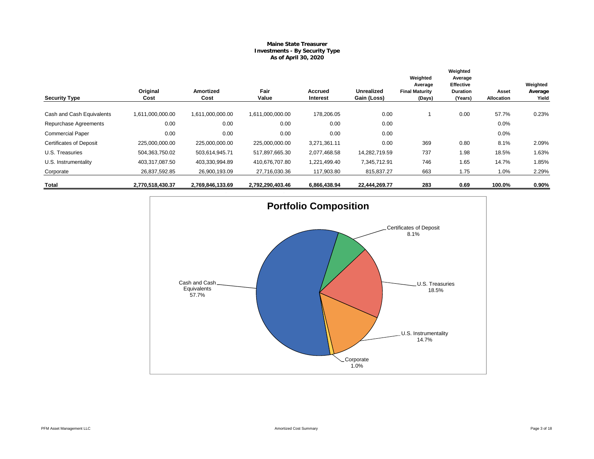# **Maine State Treasurer Investments - By Security Type As of April 30, 2020**

|                                |                  |                          | Fair             |                            |                                  | Weighted<br>Average             | Weighted<br>Average<br>Effective |                     | Weighted         |
|--------------------------------|------------------|--------------------------|------------------|----------------------------|----------------------------------|---------------------------------|----------------------------------|---------------------|------------------|
| <b>Security Type</b>           | Original<br>Cost | <b>Amortized</b><br>Cost | Value            | <b>Accrued</b><br>Interest | <b>Unrealized</b><br>Gain (Loss) | <b>Final Maturity</b><br>(Days) | <b>Duration</b><br>(Years)       | Asset<br>Allocation | Average<br>Yield |
| Cash and Cash Equivalents      | 1,611,000,000.00 | 1,611,000,000.00         | 1,611,000,000.00 | 178,206.05                 | 0.00                             |                                 | 0.00                             | 57.7%               | 0.23%            |
| Repurchase Agreements          | 0.00             | 0.00                     | 0.00             | 0.00                       | 0.00                             |                                 |                                  | 0.0%                |                  |
| <b>Commercial Paper</b>        | 0.00             | 0.00                     | 0.00             | 0.00                       | 0.00                             |                                 |                                  | 0.0%                |                  |
| <b>Certificates of Deposit</b> | 225,000,000.00   | 225,000,000.00           | 225,000,000.00   | 3,271,361.11               | 0.00                             | 369                             | 0.80                             | 8.1%                | 2.09%            |
| U.S. Treasuries                | 504,363,750.02   | 503,614,945.71           | 517,897,665.30   | 2,077,468.58               | 14,282,719.59                    | 737                             | 1.98                             | 18.5%               | 1.63%            |
| U.S. Instrumentality           | 403,317,087.50   | 403,330,994.89           | 410,676,707.80   | 1,221,499.40               | 7,345,712.91                     | 746                             | 1.65                             | 14.7%               | 1.85%            |
| Corporate                      | 26,837,592.85    | 26,900,193.09            | 27,716,030.36    | 117,903.80                 | 815,837.27                       | 663                             | 1.75                             | 1.0%                | 2.29%            |
| Total                          | 2,770,518,430.37 | 2,769,846,133.69         | 2,792,290,403.46 | 6,866,438.94               | 22,444,269.77                    | 283                             | 0.69                             | 100.0%              | $0.90\%$         |

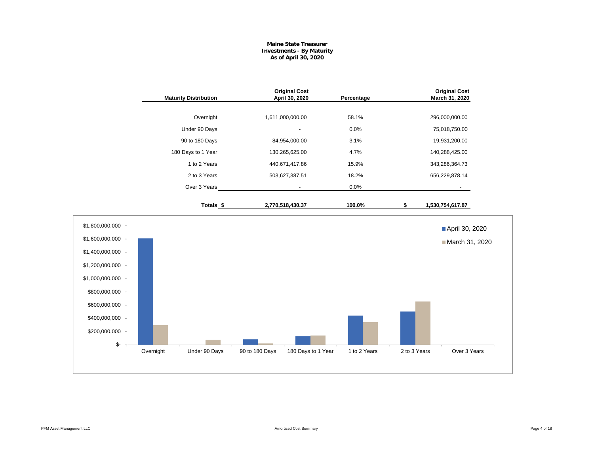## **Maine State Treasurer Investments - By Maturity As of April 30, 2020**

|                                                                                                                                                                        | <b>Maturity Distribution</b> | <b>Original Cost</b><br>April 30, 2020 | Percentage                         |              | <b>Original Cost</b><br>March 31, 2020 |
|------------------------------------------------------------------------------------------------------------------------------------------------------------------------|------------------------------|----------------------------------------|------------------------------------|--------------|----------------------------------------|
|                                                                                                                                                                        | Overnight                    | 1,611,000,000.00                       | 58.1%                              |              | 296,000,000.00                         |
|                                                                                                                                                                        | Under 90 Days                |                                        | 0.0%                               |              | 75,018,750.00                          |
|                                                                                                                                                                        | 90 to 180 Days               | 84,954,000.00                          | 3.1%                               |              | 19,931,200.00                          |
|                                                                                                                                                                        | 180 Days to 1 Year           | 130,265,625.00                         | 4.7%                               |              | 140,288,425.00                         |
|                                                                                                                                                                        | 1 to 2 Years                 | 440,671,417.86                         | 15.9%                              |              | 343,286,364.73                         |
|                                                                                                                                                                        | 2 to 3 Years                 | 503,627,387.51                         | 18.2%                              |              | 656,229,878.14                         |
|                                                                                                                                                                        | Over 3 Years                 | $\overline{\phantom{a}}$               | 0.0%                               |              |                                        |
|                                                                                                                                                                        | Totals <sub>\$</sub>         | 2,770,518,430.37                       | 100.0%                             | \$           | 1,530,754,617.87                       |
| \$1,800,000,000<br>\$1,600,000,000<br>\$1,400,000,000<br>\$1,200,000,000<br>\$1,000,000,000<br>\$800,000,000<br>\$600,000,000<br>\$400,000,000<br>\$200,000,000<br>\$- |                              |                                        |                                    |              | April 30, 2020<br>March 31, 2020       |
|                                                                                                                                                                        | Overnight<br>Under 90 Days   | 90 to 180 Days                         | 180 Days to 1 Year<br>1 to 2 Years | 2 to 3 Years | Over 3 Years                           |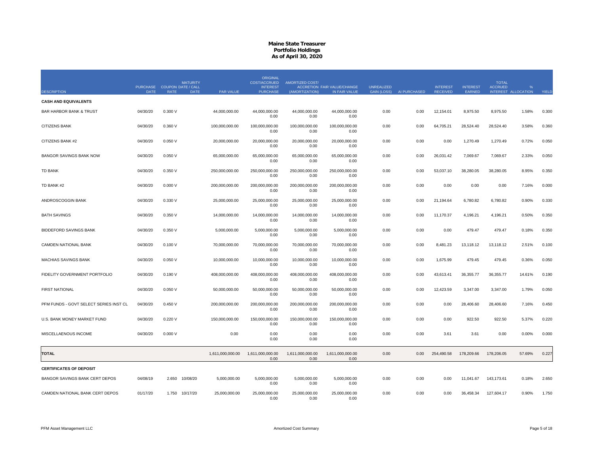|                                        | PURCHASE COUPON DATE / CALL |             | <b>MATURITY</b> |                  | <b>ORIGINAL</b><br>COST/ACCRUED<br><b>INTEREST</b> | <b>AMORTIZED COST/</b>   | ACCRETION FAIR VALUE/CHANGE | <b>UNREALIZED</b>  |              | <b>INTEREST</b> | <b>INTEREST</b> | <b>TOTAL</b><br><b>ACCRUED</b> |                     |       |
|----------------------------------------|-----------------------------|-------------|-----------------|------------------|----------------------------------------------------|--------------------------|-----------------------------|--------------------|--------------|-----------------|-----------------|--------------------------------|---------------------|-------|
| <b>DESCRIPTION</b>                     | <b>DATE</b>                 | <b>RATE</b> | <b>DATE</b>     | PAR VALUE        | <b>PURCHASE</b>                                    | (AMORTIZATION)           | IN FAIR VALUE               | <b>GAIN (LOSS)</b> | AI PURCHASED | <b>RECEIVED</b> | EARNED          |                                | INTEREST ALLOCATION | YIELD |
| <b>CASH AND EQUIVALENTS</b>            |                             |             |                 |                  |                                                    |                          |                             |                    |              |                 |                 |                                |                     |       |
| <b>BAR HARBOR BANK &amp; TRUST</b>     | 04/30/20                    | 0.300V      |                 | 44,000,000.00    | 44.000.000.00<br>0.00                              | 44,000,000.00<br>0.00    | 44,000,000.00<br>0.00       | 0.00               | 0.00         | 12,154.01       | 8,975.50        | 8,975.50                       | 1.58%               | 0.300 |
| CITIZENS BANK                          | 04/30/20                    | 0.360 V     |                 | 100,000,000.00   | 100,000,000.00<br>0.00                             | 100,000,000.00<br>0.00   | 100,000,000.00<br>0.00      | 0.00               | 0.00         | 64,705.21       | 28,524.40       | 28,524.40                      | 3.58%               | 0.360 |
| CITIZENS BANK #2                       | 04/30/20                    | 0.050V      |                 | 20,000,000.00    | 20,000,000.00<br>0.00                              | 20,000,000.00<br>0.00    | 20,000,000.00<br>0.00       | 0.00               | 0.00         | 0.00            | 1,270.49        | 1,270.49                       | 0.72%               | 0.050 |
| <b>BANGOR SAVINGS BANK NOW</b>         | 04/30/20                    | 0.050V      |                 | 65,000,000.00    | 65,000,000.00<br>0.00                              | 65,000,000.00<br>0.00    | 65,000,000.00<br>0.00       | 0.00               | 0.00         | 26,031.42       | 7,069.67        | 7,069.67                       | 2.33%               | 0.050 |
| <b>TD BANK</b>                         | 04/30/20                    | 0.350 V     |                 | 250,000,000.00   | 250,000,000.00<br>0.00                             | 250,000,000.00<br>0.00   | 250,000,000.00<br>0.00      | 0.00               | 0.00         | 53,037.10       | 38,280.05       | 38,280.05                      | 8.95%               | 0.350 |
| TD BANK #2                             | 04/30/20                    | 0.000V      |                 | 200,000,000.00   | 200,000,000.00<br>0.00                             | 200,000,000.00<br>0.00   | 200,000,000.00<br>0.00      | 0.00               | 0.00         | 0.00            | 0.00            | 0.00                           | 7.16%               | 0.000 |
| ANDROSCOGGIN BANK                      | 04/30/20                    | 0.330 V     |                 | 25,000,000.00    | 25,000,000.00<br>0.00                              | 25,000,000.00<br>0.00    | 25,000,000.00<br>0.00       | 0.00               | 0.00         | 21,194.64       | 6,780.82        | 6,780.82                       | 0.90%               | 0.330 |
| <b>BATH SAVINGS</b>                    | 04/30/20                    | 0.350 V     |                 | 14,000,000.00    | 14,000,000.00<br>0.00                              | 14,000,000.00<br>0.00    | 14,000,000.00<br>0.00       | 0.00               | 0.00         | 11,170.37       | 4,196.21        | 4,196.21                       | 0.50%               | 0.350 |
| BIDDEFORD SAVINGS BANK                 | 04/30/20                    | 0.350 V     |                 | 5,000,000.00     | 5,000,000.00<br>0.00                               | 5,000,000.00<br>0.00     | 5,000,000.00<br>0.00        | 0.00               | 0.00         | 0.00            | 479.47          | 479.47                         | 0.18%               | 0.350 |
| CAMDEN NATIONAL BANK                   | 04/30/20                    | 0.100V      |                 | 70,000,000.00    | 70,000,000.00<br>0.00                              | 70,000,000.00<br>0.00    | 70,000,000.00<br>0.00       | 0.00               | 0.00         | 8,481.23        | 13,118.12       | 13,118.12                      | 2.51%               | 0.100 |
| MACHIAS SAVINGS BANK                   | 04/30/20                    | 0.050V      |                 | 10,000,000.00    | 10,000,000.00<br>0.00                              | 10,000,000.00<br>0.00    | 10,000,000.00<br>0.00       | 0.00               | 0.00         | 1,675.99        | 479.45          | 479.45                         | 0.36%               | 0.050 |
| FIDELITY GOVERNMENT PORTFOLIO          | 04/30/20                    | 0.190V      |                 | 408,000,000.00   | 408,000,000.00<br>0.00                             | 408,000,000.00<br>0.00   | 408,000,000.00<br>0.00      | 0.00               | 0.00         | 43,613.41       | 36,355.77       | 36,355.77                      | 14.61%              | 0.190 |
| <b>FIRST NATIONAL</b>                  | 04/30/20                    | 0.050V      |                 | 50,000,000.00    | 50,000,000.00<br>0.00                              | 50,000,000.00<br>0.00    | 50,000,000.00<br>0.00       | 0.00               | 0.00         | 12,423.59       | 3,347.00        | 3,347.00                       | 1.79%               | 0.050 |
| PFM FUNDS - GOVT SELECT SERIES INST CL | 04/30/20                    | 0.450V      |                 | 200,000,000.00   | 200,000,000.00<br>0.00                             | 200,000,000.00<br>0.00   | 200,000,000.00<br>0.00      | 0.00               | 0.00         | 0.00            | 28,406.60       | 28,406.60                      | 7.16%               | 0.450 |
| U.S. BANK MONEY MARKET FUND            | 04/30/20                    | 0.220 V     |                 | 150,000,000.00   | 150,000,000.00<br>0.00                             | 150,000,000.00<br>0.00   | 150,000,000.00<br>0.00      | 0.00               | 0.00         | 0.00            | 922.50          | 922.50                         | 5.37%               | 0.220 |
| MISCELLAENOUS INCOME                   | 04/30/20                    | 0.000V      |                 | 0.00             | 0.00<br>0.00                                       | 0.00<br>0.00             | 0.00<br>0.00                | 0.00               | 0.00         | 3.61            | 3.61            | 0.00                           | 0.00%               | 0.000 |
| <b>TOTAL</b>                           |                             |             |                 | 1,611,000,000.00 | 1,611,000,000.00<br>0.00                           | 1,611,000,000.00<br>0.00 | 1,611,000,000.00<br>0.00    | 0.00               | 0.00         | 254,490.58      | 178,209.66      | 178,206.05                     | 57.69%              | 0.227 |
| <b>CERTIFICATES OF DEPOSIT</b>         |                             |             |                 |                  |                                                    |                          |                             |                    |              |                 |                 |                                |                     |       |
| BANGOR SAVINGS BANK CERT DEPOS         | 04/08/19                    | 2.650       | 10/08/20        | 5,000,000.00     | 5,000,000.00<br>0.00                               | 5,000,000.00<br>0.00     | 5,000,000.00<br>0.00        | 0.00               | 0.00         | 0.00            | 11,041.67       | 143,173.61                     | 0.18%               | 2.650 |
| CAMDEN NATIONAL BANK CERT DEPOS        | 01/17/20                    |             | 1.750 10/17/20  | 25,000,000.00    | 25,000,000.00<br>0.00                              | 25,000,000.00<br>0.00    | 25,000,000.00<br>0.00       | 0.00               | 0.00         | 0.00            | 36,458.34       | 127,604.17                     | 0.90%               | 1.750 |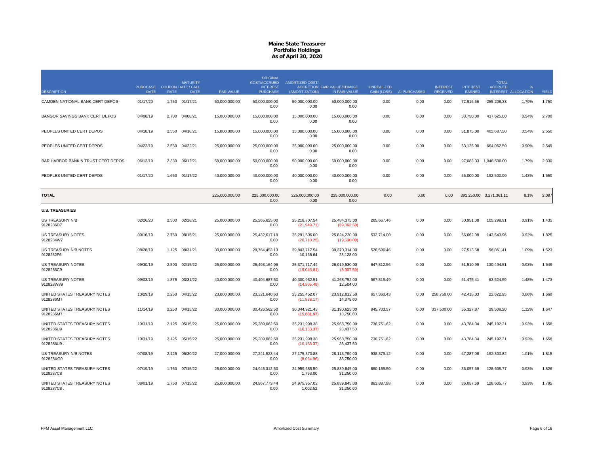|                                            |                                            |             | <b>MATURITY</b> |                  | <b>ORIGINAL</b><br>COST/ACCRUED    | <b>AMORTIZED COST/</b>        |                                              |                                         |              |                                    |                           | <b>TOTAL</b>            |                                      |       |
|--------------------------------------------|--------------------------------------------|-------------|-----------------|------------------|------------------------------------|-------------------------------|----------------------------------------------|-----------------------------------------|--------------|------------------------------------|---------------------------|-------------------------|--------------------------------------|-------|
| <b>DESCRIPTION</b>                         | PURCHASE COUPON DATE / CALL<br><b>DATE</b> | <b>RATE</b> | <b>DATE</b>     | <b>PAR VALUE</b> | <b>INTEREST</b><br><b>PURCHASE</b> | (AMORTIZATION)                | ACCRETION FAIR VALUE/CHANGE<br>IN FAIR VALUE | <b>UNREALIZED</b><br><b>GAIN (LOSS)</b> | AI PURCHASED | <b>INTEREST</b><br><b>RECEIVED</b> | <b>INTEREST</b><br>EARNED | <b>ACCRUED</b>          | $\frac{9}{6}$<br>INTEREST ALLOCATION | YIELD |
| CAMDEN NATIONAL BANK CERT DEPOS            | 01/17/20                                   |             | 1.750 01/17/21  | 50,000,000.00    | 50,000,000.00<br>0.00              | 50.000.000.00<br>0.00         | 50,000,000.00<br>0.00                        | 0.00                                    | 0.00         | 0.00                               | 72,916.66                 | 255,208.33              | 1.79%                                | 1.750 |
| BANGOR SAVINGS BANK CERT DEPOS             | 04/08/19                                   | 2.700       | 04/08/21        | 15,000,000.00    | 15,000,000.00<br>0.00              | 15,000,000.00<br>0.00         | 15,000,000.00<br>0.00                        | 0.00                                    | 0.00         | 0.00                               | 33,750.00                 | 437,625.00              | 0.54%                                | 2.700 |
| PEOPLES UNITED CERT DEPOS                  | 04/18/19                                   | 2.550       | 04/18/21        | 15,000,000.00    | 15,000,000.00<br>0.00              | 15,000,000.00<br>0.00         | 15,000,000.00<br>0.00                        | 0.00                                    | 0.00         | 0.00                               | 31,875.00                 | 402,687.50              | 0.54%                                | 2.550 |
| PEOPLES UNITED CERT DEPOS                  | 04/22/19                                   | 2.550       | 04/22/21        | 25,000,000.00    | 25,000,000.00<br>0.00              | 25,000,000.00<br>0.00         | 25,000,000.00<br>0.00                        | 0.00                                    | 0.00         | 0.00                               | 53,125.00                 | 664,062.50              | 0.90%                                | 2.549 |
| BAR HARBOR BANK & TRUST CERT DEPOS         | 06/12/19                                   | 2.330       | 06/12/21        | 50,000,000.00    | 50,000,000.00<br>0.00              | 50,000,000.00<br>0.00         | 50,000,000.00<br>0.00                        | 0.00                                    | 0.00         | 0.00                               |                           | 97,083.33 1,048,500.00  | 1.79%                                | 2.330 |
| PEOPLES UNITED CERT DEPOS                  | 01/17/20                                   | 1.650       | 01/17/22        | 40.000.000.00    | 40.000.000.00<br>0.00              | 40.000.000.00<br>0.00         | 40.000.000.00<br>0.00                        | 0.00                                    | 0.00         | 0.00                               | 55,000.00                 | 192.500.00              | 1.43%                                | 1.650 |
| <b>TOTAL</b>                               |                                            |             |                 | 225,000,000.00   | 225,000,000.00<br>0.00             | 225,000,000.00<br>0.00        | 225,000,000.00<br>0.00                       | 0.00                                    | 0.00         | 0.00                               |                           | 391,250.00 3,271,361.11 | 8.1%                                 | 2.087 |
| <b>U.S. TREASURIES</b>                     |                                            |             |                 |                  |                                    |                               |                                              |                                         |              |                                    |                           |                         |                                      |       |
| US TREASURY N/B<br>9128286D7               | 02/26/20                                   | 2.500       | 02/28/21        | 25,000,000.00    | 25,265,625.00<br>0.00              | 25,218,707.54<br>(21, 949.71) | 25,484,375.00<br>(39,062.50)                 | 265,667.46                              | 0.00         | 0.00                               | 50,951.08                 | 105,298.91              | 0.91%                                | 1.435 |
| US TREASURY NOTES<br>9128284W7             | 09/16/19                                   | 2.750       | 08/15/21        | 25,000,000.00    | 25,432,617.19<br>0.00              | 25,291,506.00<br>(20,710.25)  | 25,824,220.00<br>(19,530.00)                 | 532,714.00                              | 0.00         | 0.00                               | 56,662.09                 | 143,543.96              | 0.92%                                | 1.825 |
| US TREASURY N/B NOTES<br>9128282F6         | 08/28/19                                   | 1.125       | 08/31/21        | 30.000.000.00    | 29.764.453.13<br>0.00              | 29.843.717.54<br>10,168.64    | 30.370.314.00<br>28,128.00                   | 526.596.46                              | 0.00         | 0.00                               | 27,513.58                 | 56.861.41               | 1.09%                                | 1.523 |
| US TREASURY NOTES<br>9128286C9             | 09/30/19                                   | 2.500       | 02/15/22        | 25,000,000.00    | 25,493,164.06<br>0.00              | 25,371,717.44<br>(19,043.81)  | 26,019,530.00<br>(3,907.50)                  | 647,812.56                              | 0.00         | 0.00                               | 51,510.99                 | 130,494.51              | 0.93%                                | 1.649 |
| US TREASURY NOTES<br>912828W89             | 09/03/19                                   | 1.875       | 03/31/22        | 40,000,000.00    | 40,404,687.50<br>0.00              | 40,300,932.51<br>(14, 565.49) | 41,268,752.00<br>12.504.00                   | 967,819.49                              | 0.00         | 0.00                               | 61,475.41                 | 63,524.59               | 1.48%                                | 1.473 |
| UNITED STATES TREASURY NOTES<br>9128286M7  | 10/29/19                                   | 2.250       | 04/15/22        | 23,000,000.00    | 23.321.640.63<br>0.00              | 23,255,452.07<br>(11,828.17)  | 23.912.812.50<br>14,375.00                   | 657,360.43                              | 0.00         | 258,750.00                         | 42,418.03                 | 22.622.95               | 0.86%                                | 1.668 |
| UNITED STATES TREASURY NOTES<br>9128286M7. | 11/14/19                                   | 2.250       | 04/15/22        | 30,000,000.00    | 30,426,562.50<br>0.00              | 30,344,921.43<br>(15,881.97)  | 31,190,625.00<br>18,750.00                   | 845,703.57                              | 0.00         | 337,500.00                         | 55,327.87                 | 29,508.20               | 1.12%                                | 1.647 |
| UNITED STATES TREASURY NOTES<br>9128286U9  | 10/31/19                                   | 2.125       | 05/15/22        | 25,000,000.00    | 25,289,062.50<br>0.00              | 25,231,998.38<br>(10, 153.37) | 25,968,750.00<br>23,437.50                   | 736,751.62                              | 0.00         | 0.00                               | 43.784.34                 | 245,192.31              | 0.93%                                | 1.658 |
| UNITED STATES TREASURY NOTES<br>9128286U9  | 10/31/19                                   |             | 2.125 05/15/22  | 25,000,000.00    | 25,289,062.50<br>0.00              | 25,231,998.38<br>(10, 153.37) | 25,968,750.00<br>23.437.50                   | 736,751.62                              | 0.00         | 0.00                               | 43,784.34                 | 245,192.31              | 0.93%                                | 1.658 |
| US TREASURY N/B NOTES<br>912828XG0         | 07/08/19                                   | 2.125       | 06/30/22        | 27.000.000.00    | 27.241.523.44<br>0.00              | 27,175,370.88<br>(8,064.96)   | 28,113,750.00<br>33,750.00                   | 938,379.12                              | 0.00         | 0.00                               | 47.287.08                 | 192.300.82              | 1.01%                                | 1.815 |
| UNITED STATES TREASURY NOTES<br>9128287C8  | 07/19/19                                   |             | 1.750 07/15/22  | 25,000,000.00    | 24,945,312.50<br>0.00              | 24,959,685.50<br>1,793.00     | 25,839,845.00<br>31,250.00                   | 880,159.50                              | 0.00         | 0.00                               | 36,057.69                 | 128,605.77              | 0.93%                                | 1.826 |
| UNITED STATES TREASURY NOTES<br>9128287C8  | 08/01/19                                   | 1.750       | 07/15/22        | 25,000,000.00    | 24,967,773.44<br>0.00              | 24,975,957.02<br>1,002.52     | 25,839,845.00<br>31,250.00                   | 863,887.98                              | 0.00         | 0.00                               | 36,057.69                 | 128,605.77              | 0.93%                                | 1.795 |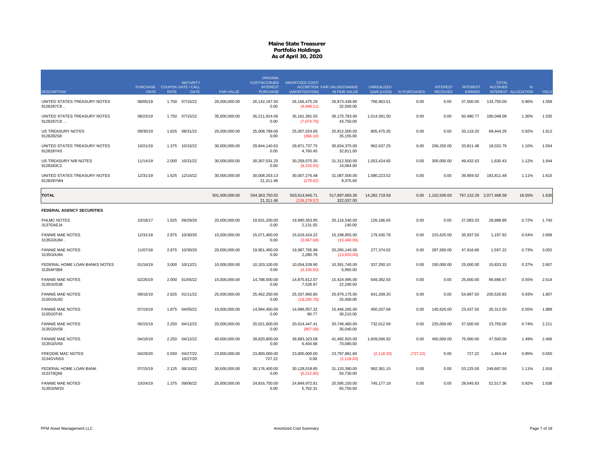|                                            |                             |             |                      |                  | <b>ORIGINAL</b>                 |                                |                               |                    |              |                   |                 |                                |                     |       |
|--------------------------------------------|-----------------------------|-------------|----------------------|------------------|---------------------------------|--------------------------------|-------------------------------|--------------------|--------------|-------------------|-----------------|--------------------------------|---------------------|-------|
|                                            | PURCHASE COUPON DATE / CALL |             | <b>MATURITY</b>      |                  | COST/ACCRUED<br><b>INTEREST</b> | <b>AMORTIZED COST/</b>         | ACCRETION FAIR VALUE/CHANGE   | <b>UNREALIZED</b>  |              | <b>INTEREST</b>   | <b>INTEREST</b> | <b>TOTAL</b><br><b>ACCRUED</b> | %                   |       |
| <b>DESCRIPTION</b>                         | <b>DATE</b>                 | <b>RATE</b> | <b>DATE</b>          | <b>PAR VALUE</b> | <b>PURCHASE</b>                 | (AMORTIZATION)                 | IN FAIR VALUE                 | <b>GAIN (LOSS)</b> | AI PURCHASED | <b>RECEIVED</b>   | EARNED          |                                | INTEREST ALLOCATION | YIELD |
| UNITED STATES TREASURY NOTES<br>9128287C8  | 08/05/19                    |             | 1.750 07/15/22       | 26,000,000.00    | 26.142.187.50<br>0.00           | 26.106.475.29<br>(4,698.11)    | 26.873.438.80<br>32,500.00    | 766,963.51         | 0.00         | 0.00              | 37,500.00       | 133,750.00                     | 0.96%               | 1.559 |
| UNITED STATES TREASURY NOTES<br>9128287C8  | 08/23/19                    | 1.750       | 07/15/22             | 35,000,000.00    | 35,211,914.06<br>0.00           | 35, 161, 391.50<br>(7,074.70)  | 36, 175, 783.00<br>43,750.00  | 1,014,391.50       | 0.00         | 0.00              | 50,480.77       | 180,048.08                     | 1.30%               | 1.535 |
| <b>US TREASURY NOTES</b><br>9128282S8      | 09/30/19                    | 1.625       | 08/31/22             | 25,000,000.00    | 25,008,789.06<br>0.00           | 25,007,024.65<br>(366.10)      | 25,812,500.00<br>35,155.00    | 805,475.35         | 0.00         | 0.00              | 33,118.20       | 68,444.29                      | 0.92%               | 1.612 |
| UNITED STATES TREASURY NOTES<br>912828YK0  | 10/21/19                    | 1.375       | 10/15/22             | 30,000,000.00    | 29,844,140.63<br>0.00           | 29,871,737.75<br>4,760.45      | 30,834,375.00<br>32,811.00    | 962,637.25         | 0.00         | 206,250.00        | 33,811.48       | 18,032.79                      | 1.10%               | 1.554 |
| US TREASURY N/B NOTES<br>9128283C2         | 11/14/19                    | 2.000       | 10/31/22             | 30.000.000.00    | 30.307.031.25<br>0.00           | 30.259.075.35<br>(9,233.55)    | 31.312.500.00<br>14,064.00    | 1.053.424.65       | 0.00         | 300,000,00        | 49.432.63       | 1.630.43                       | 1.12%               | 1.644 |
| UNITED STATES TREASURY NOTES<br>912828YW4  | 12/31/19                    | 1.625       | 12/15/22             | 30,000,000.00    | 30,008,203.13<br>21,311.48      | 30,007,276.48<br>(279.62)      | 31,087,500.00<br>9,375.00     | 1,080,223.52       | 0.00         | 0.00              | 39,959.02       | 183,811.48                     | 1.11%               | 1.615 |
| <b>TOTAL</b>                               |                             |             |                      | 501.000.000.00   | 504.363.750.02<br>21,311.48     | 503.614.945.71<br>(136.278.57) | 517.897.665.30<br>322,037.00  | 14.282.719.59      |              | 0.00 1,102,500.00 |                 | 797.132.29 2.077.468.58        | 18.55%              | 1.630 |
| <b>FEDERAL AGENCY SECURITIES</b>           |                             |             |                      |                  |                                 |                                |                               |                    |              |                   |                 |                                |                     |       |
| <b>FHLMC NOTES</b><br>3137EAEJ4            | 10/18/17                    | 1.625       | 09/29/20             | 20.000.000.00    | 19.931.200.00<br>0.00           | 19.990.353.95<br>2,131.55      | 20.116.540.00<br>140.00       | 126.186.05         | 0.00         | 0.00              | 27.083.33       | 28.888.89                      | 0.72%               | 1.745 |
| <b>FANNIE MAE NOTES</b><br>3135G0U84       | 12/31/18                    | 2.875       | 10/30/20             | 15,000,000.00    | 15,071,400.00<br>0.00           | 15,019,424.22<br>(3,667.68)    | 15,198,855.00<br>(10, 440.00) | 179,430.78         | 0.00         | 215,625.00        | 35,937.50       | 1,197.92                       | 0.54%               | 2.606 |
| <b>FANNIE MAE NOTES</b><br>3135G0U84       | 11/07/18                    | 2.875       | 10/30/20             | 20,000,000.00    | 19,951,400.00<br>0.00           | 19,987,765.98<br>2,280.78      | 20,265,140.00<br>(13,920.00)  | 277,374.02         | 0.00         | 287,500.00        | 47,916.66       | 1,597.22                       | 0.73%               | 3.002 |
| FEDERAL HOME LOAN BANKS NOTES<br>3130AF5B9 | 01/16/19                    | 3.000       | 10/12/21             | 10,000,000.00    | 10,103,100.00<br>0.00           | 10,054,539.90<br>(4, 105.50)   | 10,391,740.00<br>5,950.00     | 337,200.10         | 0.00         | 150,000.00        | 25,000.00       | 15,833.33                      | 0.37%               | 2.607 |
| <b>FANNIE MAE NOTES</b><br>3135G0S38       | 02/26/19                    | 2.000       | 01/05/22             | 15.000.000.00    | 14.788.500.00<br>0.00           | 14.875.612.07<br>7,528.97      | 15.424.995.00<br>22,290.00    | 549.382.93         | 0.00         | 0.00              | 25,000.00       | 96.666.67                      | 0.55%               | 2.514 |
| <b>FANNIE MAE NOTES</b><br>3135G0U92       | 09/16/19                    | 2.625       | 01/11/22             | 25,000,000.00    | 25,462,250.00<br>0.00           | 25,337,965.80<br>(18, 205.70)  | 25,979,175.00<br>25,400.00    | 641,209.20         | 0.00         | 0.00              | 54,687.50       | 200,520.83                     | 0.93%               | 1.807 |
| <b>FANNIE MAE NOTES</b><br>3135G0T45       | 07/19/19                    | 1.875       | 04/05/22             | 15,000,000.00    | 14,994,450.00<br>0.00           | 14,996,057.32<br>80.77         | 15,446,265.00<br>30,210.00    | 450,207.68         | 0.00         | 140,625.00        | 23,437.50       | 20,312.50                      | 0.55%               | 1.889 |
| <b>FANNIE MAE NOTES</b><br>3135G0V59.      | 05/15/19                    | 2.250       | 04/12/22             | 20,000,000.00    | 20,021,600.00<br>0.00           | 20,014,447.41<br>(907.59)      | 20,746,460.00<br>35,040.00    | 732,012.59         | 0.00         | 225,000.00        | 37,500.00       | 23,750.00                      | 0.74%               | 2.211 |
| <b>FANNIE MAE NOTES</b><br>3135G0V59       | 04/16/19                    | 2.250       | 04/12/22             | 40,000,000.00    | 39,820,800.00<br>0.00           | 39,883,323.08<br>6,404.68      | 41,492,920.00<br>70,080.00    | 1,609,596.92       | 0.00         | 450,000.00        | 75,000.00       | 47,500.00                      | 1.49%               | 2.406 |
| <b>FREDDIE MAC NOTES</b><br>3134GVNS3      | 04/29/20                    | 0.550       | 04/27/22<br>10/27/20 | 23,800,000.00    | 23,800,000.00<br>727.22         | 23,800,000.00<br>0.00          | 23,797,881.80<br>(2, 118.20)  | (2, 118.20)        | (727.22)     | 0.00              | 727.22          | 1,454.44                       | 0.85%               | 0.550 |
| FEDERAL HOME LOAN BANK<br>313379Q69        | 07/15/19                    | 2.125       | 06/10/22             | 30,000,000.00    | 30,176,400.00<br>0.00           | 30,128,018.85<br>(6,212.85)    | 31,120,380.00<br>50,730.00    | 992,361.15         | 0.00         | 0.00              | 53,125.00       | 249,687.50                     | 1.11%               | 1.916 |
| <b>FANNIE MAE NOTES</b><br>3135G0W33       | 10/24/19                    | 1.375       | 09/06/22             | 25,000,000.00    | 24,816,750.00<br>0.00           | 24,849,972.81<br>5,762.31      | 25,595,150.00<br>65,750.00    | 745,177.19         | 0.00         | 0.00              | 28,645.83       | 52,517.36                      | 0.92%               | 1.638 |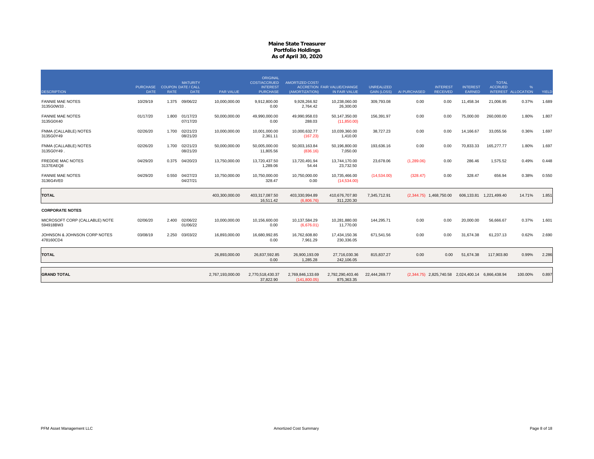|                                             |                 |             |                                              |                  | <b>ORIGINAL</b>                 |                                  |                                    |                    |              |                                                   |                 |                                |                     |       |
|---------------------------------------------|-----------------|-------------|----------------------------------------------|------------------|---------------------------------|----------------------------------|------------------------------------|--------------------|--------------|---------------------------------------------------|-----------------|--------------------------------|---------------------|-------|
|                                             | <b>PURCHASE</b> |             | <b>MATURITY</b><br><b>COUPON DATE / CALL</b> |                  | COST/ACCRUED<br><b>INTEREST</b> | <b>AMORTIZED COST/</b>           | <b>ACCRETION FAIR VALUE/CHANGE</b> | <b>UNREALIZED</b>  |              | <b>INTEREST</b>                                   | <b>INTEREST</b> | <b>TOTAL</b><br><b>ACCRUED</b> | $\frac{9}{6}$       |       |
| <b>DESCRIPTION</b>                          | <b>DATE</b>     | <b>RATE</b> | <b>DATE</b>                                  | <b>PAR VALUE</b> | <b>PURCHASE</b>                 | (AMORTIZATION)                   | IN FAIR VALUE                      | <b>GAIN (LOSS)</b> | AI PURCHASED | <b>RECEIVED</b>                                   | EARNED          |                                | INTEREST ALLOCATION | YIELD |
| <b>FANNIE MAE NOTES</b><br>3135G0W33.       | 10/29/19        |             | 1.375 09/06/22                               | 10,000,000.00    | 9,912,800.00<br>0.00            | 9,928,266.92<br>2,764.42         | 10,238,060.00<br>26,300.00         | 309,793.08         | 0.00         | 0.00                                              | 11,458.34       | 21,006.95                      | 0.37%               | 1.689 |
| <b>FANNIE MAE NOTES</b><br>3135G0X40        | 01/17/20        | 1.800       | 01/17/23<br>07/17/20                         | 50,000,000.00    | 49,990,000.00<br>0.00           | 49,990,958.03<br>288.03          | 50,147,350.00<br>(11,850.00)       | 156,391.97         | 0.00         | 0.00                                              | 75,000.00       | 260,000.00                     | 1.80%               | 1.807 |
| FNMA (CALLABLE) NOTES<br>3135G0Y49          | 02/26/20        | 1.700       | 02/21/23<br>08/21/20                         | 10,000,000.00    | 10,001,000.00<br>2.361.11       | 10,000,632.77<br>(167.23)        | 10.039.360.00<br>1.410.00          | 38,727.23          | 0.00         | 0.00                                              | 14,166.67       | 33,055.56                      | 0.36%               | 1.697 |
| FNMA (CALLABLE) NOTES<br>3135G0Y49.         | 02/26/20        | 1.700       | 02/21/23<br>08/21/20                         | 50,000,000.00    | 50,005,000.00<br>11,805.56      | 50,003,163.84<br>(836.16)        | 50,196,800.00<br>7,050.00          | 193,636.16         | 0.00         | 0.00                                              | 70,833.33       | 165,277.77                     | 1.80%               | 1.697 |
| <b>FREDDIE MAC NOTES</b><br>3137EAEQ8       | 04/29/20        | 0.375       | 04/20/23                                     | 13,750,000.00    | 13,720,437.50<br>1,289.06       | 13,720,491.94<br>54.44           | 13,744,170.00<br>23,732.50         | 23,678.06          | (1,289.06)   | 0.00                                              | 286.46          | 1,575.52                       | 0.49%               | 0.448 |
| <b>FANNIE MAE NOTES</b><br>3136G4VE0        | 04/29/20        | 0.550       | 04/27/23<br>04/27/21                         | 10,750,000.00    | 10,750,000.00<br>328.47         | 10,750,000.00<br>0.00            | 10,735,466.00<br>(14,534.00)       | (14,534.00)        | (328.47)     | 0.00                                              | 328.47          | 656.94                         | 0.38%               | 0.550 |
| <b>TOTAL</b>                                |                 |             |                                              | 403,300,000.00   | 403,317,087.50<br>16,511.42     | 403,330,994.89<br>(6.806.76)     | 410,676,707.80<br>311,220.30       | 7,345,712.91       |              | $(2,344.75)$ 1,468,750.00                         | 606,133.81      | 1,221,499.40                   | 14.71%              | 1.851 |
| <b>CORPORATE NOTES</b>                      |                 |             |                                              |                  |                                 |                                  |                                    |                    |              |                                                   |                 |                                |                     |       |
| MICROSOFT CORP (CALLABLE) NOTE<br>594918BW3 | 02/06/20        | 2.400       | 02/06/22<br>01/06/22                         | 10,000,000.00    | 10,156,600.00<br>0.00           | 10,137,584.29<br>(6,676.01)      | 10,281,880.00<br>11,770.00         | 144,295.71         | 0.00         | 0.00                                              | 20,000.00       | 56,666.67                      | 0.37%               | 1.601 |
| JOHNSON & JOHNSON CORP NOTES<br>478160CD4   | 03/08/19        | 2.250       | 03/03/22                                     | 16,893,000.00    | 16,680,992.85<br>0.00           | 16,762,608.80<br>7,961.29        | 17,434,150.36<br>230,336.05        | 671.541.56         | 0.00         | 0.00                                              | 31,674.38       | 61,237.13                      | 0.62%               | 2.690 |
| <b>TOTAL</b>                                |                 |             |                                              | 26,893,000.00    | 26,837,592.85<br>0.00           | 26,900,193.09<br>1.285.28        | 27,716,030.36<br>242.106.05        | 815,837.27         | 0.00         | 0.00                                              | 51,674.38       | 117,903.80                     | 0.99%               | 2.286 |
| <b>GRAND TOTAL</b>                          |                 |             |                                              | 2,767,193,000.00 | 2,770,518,430.37<br>37,822.90   | 2,769,846,133.69<br>(141.800.05) | 2,792,290,403.46<br>875.363.35     | 22,444,269.77      |              | (2,344.75) 2,825,740.58 2,024,400.14 6,866,438.94 |                 |                                | 100.00%             | 0.897 |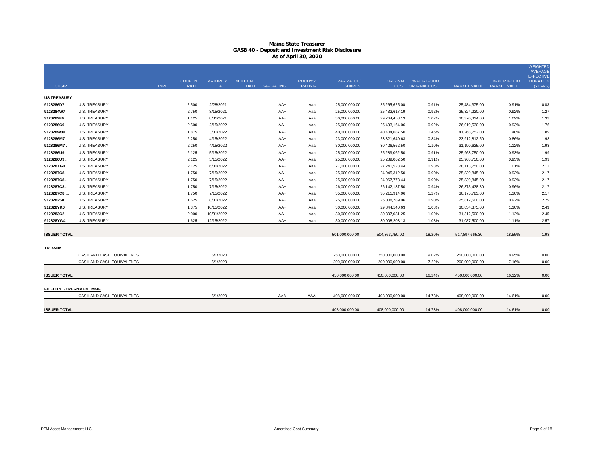|                                |                           |             |               |                 |                  |                 |               |                |                 |                      |                     |                     | <b>WEIGHTED</b><br>AVERAGE          |
|--------------------------------|---------------------------|-------------|---------------|-----------------|------------------|-----------------|---------------|----------------|-----------------|----------------------|---------------------|---------------------|-------------------------------------|
|                                |                           |             | <b>COUPON</b> | <b>MATURITY</b> | <b>NEXT CALL</b> |                 | MOODYS'       | PAR VALUE/     |                 | ORIGINAL % PORTFOLIO |                     | % PORTFOLIO         | <b>EFFECTIVE</b><br><b>DURATION</b> |
| <b>CUSIP</b>                   |                           | <b>TYPE</b> | <b>RATE</b>   | <b>DATE</b>     |                  | DATE S&P RATING | <b>RATING</b> | <b>SHARES</b>  |                 | COST ORIGINAL COST   | <b>MARKET VALUE</b> | <b>MARKET VALUE</b> | (YEARS)                             |
| <b>US TREASURY</b>             |                           |             |               |                 |                  |                 |               |                |                 |                      |                     |                     |                                     |
| 9128286D7                      | <b>U.S. TREASURY</b>      |             | 2.500         | 2/28/2021       |                  | AA+             | Aaa           | 25,000,000.00  | 25,265,625.00   | 0.91%                | 25,484,375.00       | 0.91%               | 0.83                                |
| 9128284W7                      | <b>U.S. TREASURY</b>      |             | 2.750         | 8/15/2021       |                  | AA+             | Aaa           | 25,000,000.00  | 25,432,617.19   | 0.92%                | 25,824,220.00       | 0.92%               | 1.27                                |
| 9128282F6                      | <b>U.S. TREASURY</b>      |             | 1.125         | 8/31/2021       |                  | $AA+$           | Aaa           | 30,000,000.00  | 29,764,453.13   | 1.07%                | 30,370,314.00       | 1.09%               | 1.33                                |
| 9128286C9                      | <b>U.S. TREASURY</b>      |             | 2.500         | 2/15/2022       |                  | AA+             | Aaa           | 25,000,000.00  | 25,493,164.06   | 0.92%                | 26,019,530.00       | 0.93%               | 1.76                                |
| 912828W89                      | <b>U.S. TREASURY</b>      |             | 1.875         | 3/31/2022       |                  | AA+             | Aaa           | 40,000,000.00  | 40,404,687.50   | 1.46%                | 41,268,752.00       | 1.48%               | 1.89                                |
| 9128286M7                      | <b>U.S. TREASURY</b>      |             | 2.250         | 4/15/2022       |                  | AA+             | Aaa           | 23,000,000.00  | 23,321,640.63   | 0.84%                | 23,912,812.50       | 0.86%               | 1.93                                |
| 9128286M7.                     | <b>U.S. TREASURY</b>      |             | 2.250         | 4/15/2022       |                  | AA+             | Aaa           | 30,000,000.00  | 30,426,562.50   | 1.10%                | 31,190,625.00       | 1.12%               | 1.93                                |
| 9128286U9                      | <b>U.S. TREASURY</b>      |             | 2.125         | 5/15/2022       |                  | $AA+$           | Aaa           | 25,000,000.00  | 25,289,062.50   | 0.91%                | 25,968,750.00       | 0.93%               | 1.99                                |
| 9128286U9.                     | <b>U.S. TREASURY</b>      |             | 2.125         | 5/15/2022       |                  | AA+             | Aaa           | 25,000,000.00  | 25,289,062.50   | 0.91%                | 25,968,750.00       | 0.93%               | 1.99                                |
| 912828XG0                      | U.S. TREASURY             |             | 2.125         | 6/30/2022       |                  | AA+             | Aaa           | 27,000,000.00  | 27,241,523.44   | 0.98%                | 28,113,750.00       | 1.01%               | 2.12                                |
| 9128287C8                      | <b>U.S. TREASURY</b>      |             | 1.750         | 7/15/2022       |                  | $AA+$           | Aaa           | 25,000,000.00  | 24,945,312.50   | 0.90%                | 25,839,845.00       | 0.93%               | 2.17                                |
| 9128287C8                      | U.S. TREASURY             |             | 1.750         | 7/15/2022       |                  | AA+             | Aaa           | 25,000,000.00  | 24,967,773.44   | 0.90%                | 25,839,845.00       | 0.93%               | 2.17                                |
| 9128287C8                      | U.S. TREASURY             |             | 1.750         | 7/15/2022       |                  | AA+             | Aaa           | 26,000,000.00  | 26, 142, 187.50 | 0.94%                | 26,873,438.80       | 0.96%               | 2.17                                |
| 9128287C8                      | <b>U.S. TREASURY</b>      |             | 1.750         | 7/15/2022       |                  | $AA+$           | Aaa           | 35,000,000.00  | 35,211,914.06   | 1.27%                | 36,175,783.00       | 1.30%               | 2.17                                |
| 9128282S8                      | <b>U.S. TREASURY</b>      |             | 1.625         | 8/31/2022       |                  | $AA+$           | Aaa           | 25,000,000.00  | 25,008,789.06   | 0.90%                | 25,812,500.00       | 0.92%               | 2.29                                |
| 912828YK0                      | <b>U.S. TREASURY</b>      |             | 1.375         | 10/15/2022      |                  | AA+             | Aaa           | 30,000,000.00  | 29,844,140.63   | 1.08%                | 30,834,375.00       | 1.10%               | 2.43                                |
| 9128283C2                      | <b>U.S. TREASURY</b>      |             | 2.000         | 10/31/2022      |                  | AA+             | Aaa           | 30,000,000.00  | 30,307,031.25   | 1.09%                | 31,312,500.00       | 1.12%               | 2.45                                |
| 912828YW4                      | <b>U.S. TREASURY</b>      |             | 1.625         | 12/15/2022      |                  | AA+             | Aaa           | 30,000,000.00  | 30,008,203.13   | 1.08%                | 31,087,500.00       | 1.11%               | 2.57                                |
|                                |                           |             |               |                 |                  |                 |               |                |                 |                      |                     |                     |                                     |
| <b>ISSUER TOTAL</b>            |                           |             |               |                 |                  |                 |               | 501,000,000.00 | 504,363,750.02  | 18.20%               | 517,897,665.30      | 18.55%              | 1.98                                |
| <b>TD BANK</b>                 |                           |             |               |                 |                  |                 |               |                |                 |                      |                     |                     |                                     |
|                                | CASH AND CASH EQUIVALENTS |             |               | 5/1/2020        |                  |                 |               | 250,000,000.00 | 250,000,000.00  | 9.02%                | 250,000,000.00      | 8.95%               | 0.00                                |
|                                | CASH AND CASH EQUIVALENTS |             |               | 5/1/2020        |                  |                 |               | 200,000,000.00 | 200,000,000.00  | 7.22%                | 200,000,000.00      | 7.16%               | 0.00                                |
|                                |                           |             |               |                 |                  |                 |               |                |                 |                      |                     |                     |                                     |
| <b>ISSUER TOTAL</b>            |                           |             |               |                 |                  |                 |               | 450,000,000.00 | 450,000,000.00  | 16.24%               | 450,000,000.00      | 16.12%              | 0.00                                |
|                                |                           |             |               |                 |                  |                 |               |                |                 |                      |                     |                     |                                     |
| <b>FIDELITY GOVERNMENT MMF</b> |                           |             |               |                 |                  |                 |               |                |                 |                      |                     |                     |                                     |
|                                | CASH AND CASH EQUIVALENTS |             |               | 5/1/2020        |                  | AAA             | AAA           | 408,000,000.00 | 408,000,000.00  | 14.73%               | 408,000,000.00      | 14.61%              | 0.00                                |
| <b>ISSUER TOTAL</b>            |                           |             |               |                 |                  |                 |               | 408,000,000.00 | 408,000,000.00  | 14.73%               | 408,000,000.00      | 14.61%              | 0.00                                |
|                                |                           |             |               |                 |                  |                 |               |                |                 |                      |                     |                     |                                     |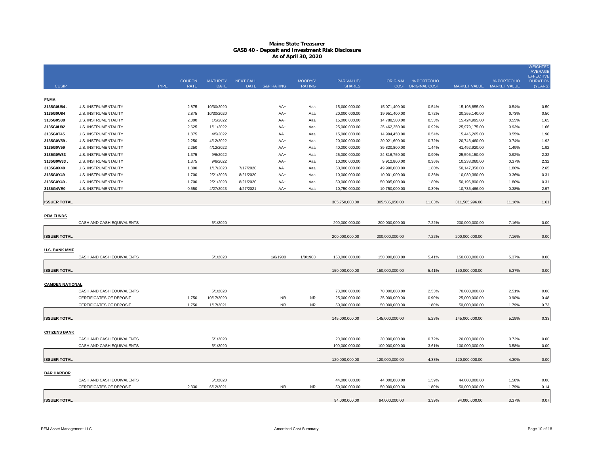|                        |                                |             |                              |                                |                                 |                       |                          |                             |                |                                                   |                |                                          | <b>WEIGHTED</b><br><b>AVERAGE</b><br><b>EFFECTIVE</b> |
|------------------------|--------------------------------|-------------|------------------------------|--------------------------------|---------------------------------|-----------------------|--------------------------|-----------------------------|----------------|---------------------------------------------------|----------------|------------------------------------------|-------------------------------------------------------|
| <b>CUSIP</b>           |                                | <b>TYPE</b> | <b>COUPON</b><br><b>RATE</b> | <b>MATURITY</b><br><b>DATE</b> | <b>NEXT CALL</b><br><b>DATE</b> | <b>S&amp;P RATING</b> | MOODYS'<br><b>RATING</b> | PAR VALUE/<br><b>SHARES</b> |                | ORIGINAL % PORTFOLIO<br><b>COST ORIGINAL COST</b> |                | % PORTFOLIO<br>MARKET VALUE MARKET VALUE | <b>DURATION</b><br>(YEARS)                            |
| <b>FNMA</b>            |                                |             |                              |                                |                                 |                       |                          |                             |                |                                                   |                |                                          |                                                       |
| 3135G0U84.             | <b>U.S. INSTRUMENTALITY</b>    |             | 2.875                        | 10/30/2020                     |                                 | AA+                   | Aaa                      | 15,000,000.00               | 15,071,400.00  | 0.54%                                             | 15,198,855.00  | 0.54%                                    | 0.50                                                  |
| 3135G0U84              | <b>U.S. INSTRUMENTALITY</b>    |             | 2.875                        | 10/30/2020                     |                                 | AA+                   | Aaa                      | 20,000,000.00               | 19,951,400.00  | 0.72%                                             | 20,265,140.00  | 0.73%                                    | 0.50                                                  |
| 3135G0S38              | <b>U.S. INSTRUMENTALITY</b>    |             | 2.000                        | 1/5/2022                       |                                 | AA+                   | Aaa                      | 15,000,000.00               | 14,788,500.00  | 0.53%                                             | 15,424,995.00  | 0.55%                                    | 1.65                                                  |
| 3135G0U92              | <b>U.S. INSTRUMENTALITY</b>    |             | 2.625                        | 1/11/2022                      |                                 | AA+                   | Aaa                      | 25,000,000.00               | 25,462,250.00  | 0.92%                                             | 25,979,175.00  | 0.93%                                    | 1.66                                                  |
| 3135G0T45              | U.S. INSTRUMENTALITY           |             | 1.875                        | 4/5/2022                       |                                 | AA+                   | Aaa                      | 15,000,000.00               | 14,994,450.00  | 0.54%                                             | 15,446,265.00  | 0.55%                                    | 1.90                                                  |
| 3135G0V59.             | U.S. INSTRUMENTALITY           |             | 2.250                        | 4/12/2022                      |                                 | AA+                   | Aaa                      | 20,000,000.00               | 20,021,600.00  | 0.72%                                             | 20,746,460.00  | 0.74%                                    | 1.92                                                  |
| 3135G0V59              | U.S. INSTRUMENTALITY           |             | 2.250                        | 4/12/2022                      |                                 | AA+                   | Aaa                      | 40,000,000.00               | 39,820,800.00  | 1.44%                                             | 41,492,920.00  | 1.49%                                    | 1.92                                                  |
| 3135G0W33              | U.S. INSTRUMENTALITY           |             | 1.375                        | 9/6/2022                       |                                 | AA+                   | Aaa                      | 25,000,000.00               | 24,816,750.00  | 0.90%                                             | 25,595,150.00  | 0.92%                                    | 2.32                                                  |
| 3135G0W33              | <b>U.S. INSTRUMENTALITY</b>    |             | 1.375                        | 9/6/2022                       |                                 | AA+                   | Aaa                      | 10,000,000.00               | 9,912,800.00   | 0.36%                                             | 10,238,060.00  | 0.37%                                    | 2.32                                                  |
| 3135G0X40              | U.S. INSTRUMENTALITY           |             | 1.800                        | 1/17/2023                      | 7/17/2020                       | AA+                   | Aaa                      | 50,000,000.00               | 49,990,000.00  | 1.80%                                             | 50,147,350.00  | 1.80%                                    | 2.65                                                  |
| 3135G0Y49              | U.S. INSTRUMENTALITY           |             | 1.700                        | 2/21/2023                      | 8/21/2020                       | AA+                   | Aaa                      | 10,000,000.00               | 10,001,000.00  | 0.36%                                             | 10,039,360.00  | 0.36%                                    | 0.31                                                  |
| 3135G0Y49.             | U.S. INSTRUMENTALITY           |             | 1.700                        | 2/21/2023                      | 8/21/2020                       | AA+                   | Aaa                      | 50,000,000.00               | 50,005,000.00  | 1.80%                                             | 50,196,800.00  | 1.80%                                    | 0.31                                                  |
| 3136G4VE0              | <b>U.S. INSTRUMENTALITY</b>    |             | 0.550                        | 4/27/2023                      | 4/27/2021                       | AA+                   | Aaa                      | 10,750,000.00               | 10,750,000.00  | 0.39%                                             | 10,735,466.00  | 0.38%                                    | 2.97                                                  |
| <b>ISSUER TOTAL</b>    |                                |             |                              |                                |                                 |                       |                          | 305,750,000.00              | 305,585,950.00 | 11.03%                                            | 311,505,996.00 | 11.16%                                   | 1.61                                                  |
| <b>PFM FUNDS</b>       |                                |             |                              |                                |                                 |                       |                          |                             |                |                                                   |                |                                          |                                                       |
|                        | CASH AND CASH EQUIVALENTS      |             |                              | 5/1/2020                       |                                 |                       |                          | 200,000,000.00              | 200,000,000.00 | 7.22%                                             | 200,000,000.00 | 7.16%                                    | 0.00                                                  |
|                        |                                |             |                              |                                |                                 |                       |                          |                             |                |                                                   |                |                                          |                                                       |
| <b>ISSUER TOTAL</b>    |                                |             |                              |                                |                                 |                       |                          | 200,000,000.00              | 200,000,000.00 | 7.22%                                             | 200,000,000.00 | 7.16%                                    | 0.00                                                  |
| <b>U.S. BANK MMF</b>   |                                |             |                              |                                |                                 |                       |                          |                             |                |                                                   |                |                                          |                                                       |
|                        | CASH AND CASH EQUIVALENTS      |             |                              | 5/1/2020                       |                                 | 1/0/1900              | 1/0/1900                 | 150,000,000.00              | 150,000,000.00 | 5.41%                                             | 150,000,000.00 | 5.37%                                    | 0.00                                                  |
|                        |                                |             |                              |                                |                                 |                       |                          |                             |                |                                                   |                |                                          |                                                       |
| <b>ISSUER TOTAL</b>    |                                |             |                              |                                |                                 |                       |                          | 150,000,000.00              | 150,000,000.00 | 5.41%                                             | 150,000,000.00 | 5.37%                                    | 0.00                                                  |
| <b>CAMDEN NATIONAL</b> |                                |             |                              |                                |                                 |                       |                          |                             |                |                                                   |                |                                          |                                                       |
|                        | CASH AND CASH EQUIVALENTS      |             |                              | 5/1/2020                       |                                 |                       |                          | 70,000,000.00               | 70,000,000.00  | 2.53%                                             | 70,000,000.00  | 2.51%                                    | 0.00                                                  |
|                        | <b>CERTIFICATES OF DEPOSIT</b> |             | 1.750                        | 10/17/2020                     |                                 | <b>NR</b>             | <b>NR</b>                | 25,000,000.00               | 25,000,000.00  | 0.90%                                             | 25,000,000.00  | 0.90%                                    | 0.48                                                  |
|                        | CERTIFICATES OF DEPOSIT        |             | 1.750                        | 1/17/2021                      |                                 | <b>NR</b>             | <b>NR</b>                | 50,000,000.00               | 50,000,000.00  | 1.80%                                             | 50,000,000.00  | 1.79%                                    | 0.73                                                  |
|                        |                                |             |                              |                                |                                 |                       |                          |                             |                |                                                   |                |                                          |                                                       |
| <b>ISSUER TOTAL</b>    |                                |             |                              |                                |                                 |                       |                          | 145,000,000.00              | 145,000,000.00 | 5.23%                                             | 145,000,000.00 | 5.19%                                    | 0.33                                                  |
| <b>CITIZENS BANK</b>   |                                |             |                              |                                |                                 |                       |                          |                             |                |                                                   |                |                                          |                                                       |
|                        | CASH AND CASH EQUIVALENTS      |             |                              | 5/1/2020                       |                                 |                       |                          | 20,000,000.00               | 20,000,000.00  | 0.72%                                             | 20,000,000.00  | 0.72%                                    | 0.00                                                  |
|                        | CASH AND CASH EQUIVALENTS      |             |                              | 5/1/2020                       |                                 |                       |                          | 100,000,000.00              | 100,000,000.00 | 3.61%                                             | 100,000,000.00 | 3.58%                                    | 0.00                                                  |
|                        |                                |             |                              |                                |                                 |                       |                          |                             |                |                                                   |                |                                          |                                                       |
| <b>ISSUER TOTAL</b>    |                                |             |                              |                                |                                 |                       |                          | 120,000,000.00              | 120,000,000.00 | 4.33%                                             | 120,000,000.00 | 4.30%                                    | 0.00                                                  |
| <b>BAR HARBOR</b>      |                                |             |                              |                                |                                 |                       |                          |                             |                |                                                   |                |                                          |                                                       |
|                        | CASH AND CASH EQUIVALENTS      |             |                              | 5/1/2020                       |                                 |                       |                          | 44,000,000.00               | 44,000,000.00  | 1.59%                                             | 44,000,000.00  | 1.58%                                    | 0.00                                                  |
|                        | CERTIFICATES OF DEPOSIT        |             | 2.330                        | 6/12/2021                      |                                 | <b>NR</b>             | <b>NR</b>                | 50,000,000.00               | 50,000,000.00  | 1.80%                                             | 50,000,000.00  | 1.79%                                    | 0.14                                                  |
|                        |                                |             |                              |                                |                                 |                       |                          |                             |                |                                                   |                |                                          |                                                       |
| <b>ISSUER TOTAL</b>    |                                |             |                              |                                |                                 |                       |                          | 94.000.000.00               | 94.000.000.00  | 3.39%                                             | 94.000.000.00  | 3.37%                                    | 0.07                                                  |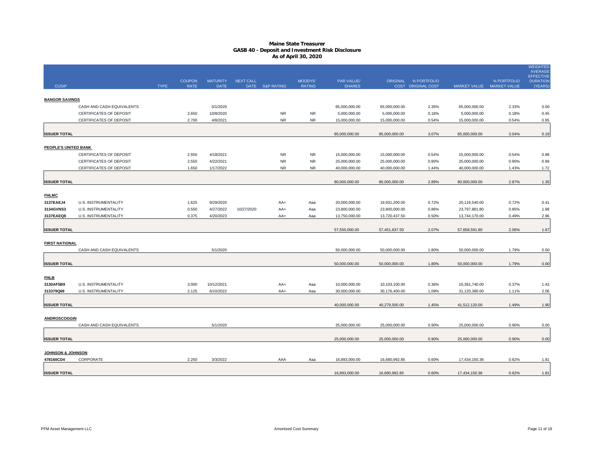|                                           |                                                     |             |                |                         |                  |                       |               |                                |                                |                    |                                |                           | <b>WEIGHTED</b><br><b>AVERAGE</b>   |
|-------------------------------------------|-----------------------------------------------------|-------------|----------------|-------------------------|------------------|-----------------------|---------------|--------------------------------|--------------------------------|--------------------|--------------------------------|---------------------------|-------------------------------------|
|                                           |                                                     |             | <b>COUPON</b>  | <b>MATURITY</b>         | <b>NEXT CALL</b> |                       | MOODYS'       | PAR VALUE/                     | ORIGINAL                       | % PORTFOLIO        |                                | % PORTFOLIO               | <b>EFFECTIVE</b><br><b>DURATION</b> |
| <b>CUSIP</b>                              |                                                     | <b>TYPE</b> | <b>RATE</b>    | <b>DATE</b>             | <b>DATE</b>      | <b>S&amp;P RATING</b> | <b>RATING</b> | <b>SHARES</b>                  |                                | COST ORIGINAL COST |                                | MARKET VALUE MARKET VALUE | (YEARS                              |
| <b>BANGOR SAVINGS</b>                     |                                                     |             |                |                         |                  |                       |               |                                |                                |                    |                                |                           |                                     |
|                                           | CASH AND CASH EQUIVALENTS                           |             |                | 5/1/2020                |                  |                       |               | 65,000,000.00                  | 65,000,000.00                  | 2.35%              | 65,000,000.00                  | 2.33%                     | 0.00                                |
|                                           | <b>CERTIFICATES OF DEPOSIT</b>                      |             | 2.650          | 10/8/2020               |                  | <b>NR</b>             | NR.           | 5,000,000.00                   | 5,000,000.00                   | 0.18%              | 5,000,000.00                   | 0.18%                     | 0.45                                |
|                                           | CERTIFICATES OF DEPOSIT                             |             | 2.700          | 4/8/2021                |                  | <b>NR</b>             | <b>NR</b>     | 15,000,000.00                  | 15,000,000.00                  | 0.54%              | 15,000,000.00                  | 0.54%                     | 0.95                                |
|                                           |                                                     |             |                |                         |                  |                       |               |                                |                                |                    |                                |                           |                                     |
| <b>ISSUER TOTAL</b>                       |                                                     |             |                |                         |                  |                       |               | 85,000,000.00                  | 85,000,000.00                  | 3.07%              | 85,000,000.00                  | 3.04%                     | 0.19                                |
|                                           |                                                     |             |                |                         |                  |                       |               |                                |                                |                    |                                |                           |                                     |
| PEOPLE'S UNITED BANK                      | <b>CERTIFICATES OF DEPOSIT</b>                      |             | 2.550          | 4/18/2021               |                  | <b>NR</b>             | NR            |                                |                                |                    |                                |                           |                                     |
|                                           | <b>CERTIFICATES OF DEPOSIT</b>                      |             | 2.550          | 4/22/2021               |                  | <b>NR</b>             | <b>NR</b>     | 15,000,000.00<br>25,000,000.00 | 15,000,000.00<br>25,000,000.00 | 0.54%<br>0.90%     | 15,000,000.00<br>25,000,000.00 | 0.54%<br>0.90%            | 0.98<br>0.99                        |
|                                           | <b>CERTIFICATES OF DEPOSIT</b>                      |             | 1.650          | 1/17/2022               |                  | <b>NR</b>             | <b>NR</b>     | 40,000,000.00                  | 40,000,000.00                  | 1.44%              | 40,000,000.00                  | 1.43%                     | 1.72                                |
|                                           |                                                     |             |                |                         |                  |                       |               |                                |                                |                    |                                |                           |                                     |
| <b>ISSUER TOTAL</b>                       |                                                     |             |                |                         |                  |                       |               | 80,000,000.00                  | 80,000,000.00                  | 2.89%              | 80,000,000.00                  | 2.87%                     | 1.35                                |
|                                           |                                                     |             |                |                         |                  |                       |               |                                |                                |                    |                                |                           |                                     |
| <b>FHLMC</b>                              |                                                     |             |                |                         |                  |                       |               |                                |                                |                    |                                |                           |                                     |
| 3137EAEJ4                                 | U.S. INSTRUMENTALITY                                |             | 1.625          | 9/29/2020               |                  | AA+                   | Aaa           | 20,000,000.00                  | 19,931,200.00                  | 0.72%              | 20,116,540.00                  | 0.72%                     | 0.41                                |
| 3134GVNS3                                 | U.S. INSTRUMENTALITY                                |             | 0.550          | 4/27/2022               | 10/27/2020       | AA+                   | Aaa           | 23,800,000.00                  | 23,800,000.00                  | 0.86%              | 23,797,881.80                  | 0.85%                     | 1.98                                |
| 3137EAEQ8                                 | U.S. INSTRUMENTALITY                                |             | 0.375          | 4/20/2023               |                  | AA+                   | Aaa           | 13,750,000.00                  | 13,720,437.50                  | 0.50%              | 13,744,170.00                  | 0.49%                     | 2.96                                |
|                                           |                                                     |             |                |                         |                  |                       |               | 57,550,000.00                  | 57,451,637.50                  | 2.07%              | 57,658,591.80                  | 2.06%                     |                                     |
| <b>ISSUER TOTAL</b>                       |                                                     |             |                |                         |                  |                       |               |                                |                                |                    |                                |                           | 1.67                                |
| <b>FIRST NATIONAL</b>                     |                                                     |             |                |                         |                  |                       |               |                                |                                |                    |                                |                           |                                     |
|                                           | CASH AND CASH EQUIVALENTS                           |             |                | 5/1/2020                |                  |                       |               | 50,000,000.00                  | 50,000,000.00                  | 1.80%              | 50,000,000.00                  | 1.79%                     | 0.00                                |
|                                           |                                                     |             |                |                         |                  |                       |               |                                |                                |                    |                                |                           |                                     |
| <b>ISSUER TOTAL</b>                       |                                                     |             |                |                         |                  |                       |               | 50,000,000.00                  | 50,000,000.00                  | 1.80%              | 50,000,000.00                  | 1.79%                     | 0.00                                |
|                                           |                                                     |             |                |                         |                  |                       |               |                                |                                |                    |                                |                           |                                     |
| <b>FHLB</b>                               |                                                     |             |                |                         |                  |                       |               |                                |                                |                    |                                |                           |                                     |
| 3130AF5B9<br>313379Q69                    | <b>U.S. INSTRUMENTALITY</b><br>U.S. INSTRUMENTALITY |             | 3.000<br>2.125 | 10/12/2021<br>6/10/2022 |                  | AA+<br>AA+            | Aaa<br>Aaa    | 10,000,000.00<br>30,000,000.00 | 10,103,100.00<br>30,176,400.00 | 0.36%<br>1.09%     | 10,391,740.00<br>31,120,380.00 | 0.37%<br>1.11%            | 1.43<br>2.06                        |
|                                           |                                                     |             |                |                         |                  |                       |               |                                |                                |                    |                                |                           |                                     |
| <b>ISSUER TOTAL</b>                       |                                                     |             |                |                         |                  |                       |               | 40,000,000.00                  | 40,279,500.00                  | 1.45%              | 41,512,120.00                  | 1.49%                     | 1.90                                |
|                                           |                                                     |             |                |                         |                  |                       |               |                                |                                |                    |                                |                           |                                     |
| <b>ANDROSCOGGIN</b>                       |                                                     |             |                |                         |                  |                       |               |                                |                                |                    |                                |                           |                                     |
|                                           | CASH AND CASH EQUIVALENTS                           |             |                | 5/1/2020                |                  |                       |               | 25,000,000.00                  | 25,000,000.00                  | 0.90%              | 25,000,000.00                  | 0.90%                     | 0.00                                |
|                                           |                                                     |             |                |                         |                  |                       |               |                                |                                |                    |                                |                           |                                     |
| <b>ISSUER TOTAL</b>                       |                                                     |             |                |                         |                  |                       |               | 25,000,000.00                  | 25,000,000.00                  | 0.90%              | 25,000,000.00                  | 0.90%                     | 0.00                                |
|                                           |                                                     |             |                |                         |                  |                       |               |                                |                                |                    |                                |                           |                                     |
| <b>JOHNSON &amp; JOHNSON</b><br>478160CD4 | CORPORATE                                           |             | 2.250          | 3/3/2022                |                  | AAA                   | Aaa           | 16,893,000.00                  | 16,680,992.85                  | 0.60%              | 17,434,150.36                  | 0.62%                     | 1.81                                |
|                                           |                                                     |             |                |                         |                  |                       |               |                                |                                |                    |                                |                           |                                     |
| <b>ISSUER TOTAL</b>                       |                                                     |             |                |                         |                  |                       |               | 16,893,000.00                  | 16,680,992.85                  | 0.60%              | 17,434,150.36                  | 0.62%                     | 1.81                                |
|                                           |                                                     |             |                |                         |                  |                       |               |                                |                                |                    |                                |                           |                                     |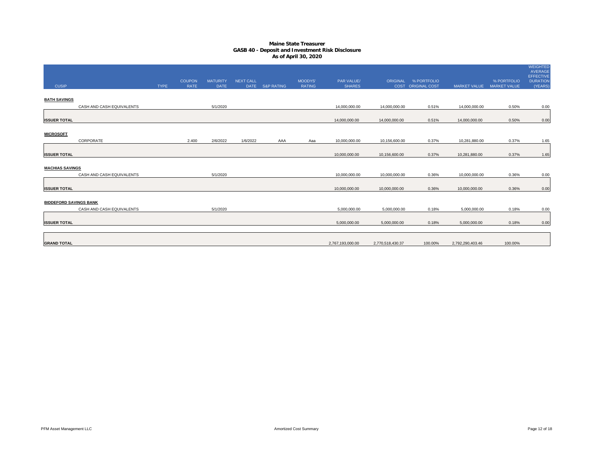| <b>CUSIP</b>                  |                           | <b>TYPE</b> | <b>COUPON</b><br><b>RATE</b> | <b>MATURITY</b><br><b>DATE</b> | <b>NEXT CALL</b> | DATE S&P RATING | MOODYS'<br><b>RATING</b> | PAR VALUE/<br><b>SHARES</b>    |                                | ORIGINAL % PORTFOLIO<br>COST ORIGINAL COST | <b>MARKET VALUE</b>            | % PORTFOLIO<br><b>MARKET VALUE</b> | <b>WEIGHTED</b><br>AVERAGE<br><b>EFFECTIVE</b><br><b>DURATION</b><br>(YEARS) |
|-------------------------------|---------------------------|-------------|------------------------------|--------------------------------|------------------|-----------------|--------------------------|--------------------------------|--------------------------------|--------------------------------------------|--------------------------------|------------------------------------|------------------------------------------------------------------------------|
| <b>BATH SAVINGS</b>           |                           |             |                              |                                |                  |                 |                          |                                |                                |                                            |                                |                                    |                                                                              |
|                               | CASH AND CASH EQUIVALENTS |             |                              | 5/1/2020                       |                  |                 |                          | 14,000,000.00                  | 14,000,000.00                  | 0.51%                                      | 14,000,000.00                  | 0.50%                              | 0.00                                                                         |
| <b>ISSUER TOTAL</b>           |                           |             |                              |                                |                  |                 |                          | 14,000,000.00                  | 14,000,000.00                  | 0.51%                                      | 14,000,000.00                  | 0.50%                              | 0.00                                                                         |
| <b>MICROSOFT</b>              |                           |             |                              |                                |                  |                 |                          |                                |                                |                                            |                                |                                    |                                                                              |
| <b>ISSUER TOTAL</b>           | CORPORATE                 |             | 2.400                        | 2/6/2022                       | 1/6/2022         | AAA             | Aaa                      | 10,000,000.00<br>10,000,000.00 | 10,156,600.00<br>10,156,600.00 | 0.37%<br>0.37%                             | 10,281,880.00<br>10,281,880.00 | 0.37%<br>0.37%                     | 1.65<br>1.65                                                                 |
| <b>MACHIAS SAVINGS</b>        |                           |             |                              |                                |                  |                 |                          |                                |                                |                                            |                                |                                    |                                                                              |
|                               | CASH AND CASH EQUIVALENTS |             |                              | 5/1/2020                       |                  |                 |                          | 10,000,000.00                  | 10,000,000.00                  | 0.36%                                      | 10,000,000.00                  | 0.36%                              | 0.00                                                                         |
| <b>ISSUER TOTAL</b>           |                           |             |                              |                                |                  |                 |                          | 10,000,000.00                  | 10,000,000.00                  | 0.36%                                      | 10,000,000.00                  | 0.36%                              | 0.00                                                                         |
| <b>BIDDEFORD SAVINGS BANK</b> |                           |             |                              |                                |                  |                 |                          |                                |                                |                                            |                                |                                    |                                                                              |
|                               | CASH AND CASH EQUIVALENTS |             |                              | 5/1/2020                       |                  |                 |                          | 5,000,000.00                   | 5,000,000.00                   | 0.18%                                      | 5,000,000.00                   | 0.18%                              | 0.00                                                                         |
| <b>ISSUER TOTAL</b>           |                           |             |                              |                                |                  |                 |                          | 5,000,000.00                   | 5,000,000.00                   | 0.18%                                      | 5,000,000.00                   | 0.18%                              | 0.00                                                                         |
| <b>GRAND TOTAL</b>            |                           |             |                              |                                |                  |                 |                          | 2,767,193,000.00               | 2,770,518,430.37               | 100.00%                                    | 2,792,290,403.46               | 100.00%                            |                                                                              |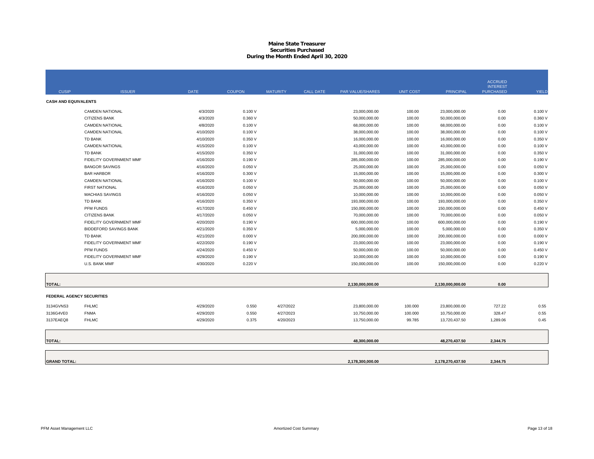#### **Maine State Treasurer Securities PurchasedDuring the Month Ended April 30, 2020**

| <b>CUSIP</b>                     | <b>ISSUER</b>                 | <b>DATE</b> | <b>COUPON</b> | <b>MATURITY</b> | <b>CALL DATE</b> | PAR VALUE/SHARES | <b>UNIT COST</b> | <b>PRINCIPAL</b> | <b>ACCRUED</b><br><b>INTEREST</b><br><b>PURCHASED</b> | <b>YIELD</b> |
|----------------------------------|-------------------------------|-------------|---------------|-----------------|------------------|------------------|------------------|------------------|-------------------------------------------------------|--------------|
| <b>CASH AND EQUIVALENTS</b>      |                               |             |               |                 |                  |                  |                  |                  |                                                       |              |
|                                  |                               |             |               |                 |                  |                  |                  |                  |                                                       |              |
|                                  | <b>CAMDEN NATIONAL</b>        | 4/3/2020    | 0.100V        |                 |                  | 23,000,000.00    | 100.00           | 23,000,000.00    | 0.00                                                  | 0.100V       |
|                                  | <b>CITIZENS BANK</b>          | 4/3/2020    | 0.360V        |                 |                  | 50,000,000.00    | 100.00           | 50,000,000.00    | 0.00                                                  | 0.360V       |
|                                  | <b>CAMDEN NATIONAL</b>        | 4/8/2020    | 0.100V        |                 |                  | 68,000,000.00    | 100.00           | 68,000,000.00    | 0.00                                                  | 0.100V       |
|                                  | <b>CAMDEN NATIONAL</b>        | 4/10/2020   | 0.100V        |                 |                  | 38,000,000.00    | 100.00           | 38,000,000.00    | 0.00                                                  | 0.100V       |
|                                  | <b>TD BANK</b>                | 4/10/2020   | 0.350V        |                 |                  | 16,000,000.00    | 100.00           | 16,000,000.00    | 0.00                                                  | 0.350 V      |
|                                  | <b>CAMDEN NATIONAL</b>        | 4/15/2020   | 0.100V        |                 |                  | 43,000,000.00    | 100.00           | 43.000.000.00    | 0.00                                                  | 0.100V       |
|                                  | <b>TD BANK</b>                | 4/15/2020   | 0.350V        |                 |                  | 31,000,000.00    | 100.00           | 31,000,000.00    | 0.00                                                  | 0.350V       |
|                                  | FIDELITY GOVERNMENT MMF       | 4/16/2020   | 0.190V        |                 |                  | 285,000,000.00   | 100.00           | 285,000,000.00   | 0.00                                                  | 0.190V       |
|                                  | <b>BANGOR SAVINGS</b>         | 4/16/2020   | 0.050V        |                 |                  | 25,000,000.00    | 100.00           | 25,000,000.00    | 0.00                                                  | 0.050V       |
|                                  | <b>BAR HARBOR</b>             | 4/16/2020   | 0.300V        |                 |                  | 15,000,000.00    | 100.00           | 15,000,000.00    | 0.00                                                  | 0.300V       |
|                                  | <b>CAMDEN NATIONAL</b>        | 4/16/2020   | 0.100V        |                 |                  | 50,000,000.00    | 100.00           | 50,000,000.00    | 0.00                                                  | 0.100V       |
|                                  | <b>FIRST NATIONAL</b>         | 4/16/2020   | 0.050V        |                 |                  | 25,000,000.00    | 100.00           | 25,000,000.00    | 0.00                                                  | 0.050V       |
|                                  | <b>MACHIAS SAVINGS</b>        | 4/16/2020   | 0.050V        |                 |                  | 10,000,000.00    | 100.00           | 10,000,000.00    | 0.00                                                  | 0.050V       |
|                                  | TD BANK                       | 4/16/2020   | 0.350V        |                 |                  | 193,000,000.00   | 100.00           | 193,000,000.00   | 0.00                                                  | 0.350 V      |
|                                  | PFM FUNDS                     | 4/17/2020   | 0.450V        |                 |                  | 150,000,000.00   | 100.00           | 150,000,000.00   | 0.00                                                  | 0.450V       |
|                                  | <b>CITIZENS BANK</b>          | 4/17/2020   | 0.050V        |                 |                  | 70,000,000.00    | 100.00           | 70,000,000.00    | 0.00                                                  | 0.050V       |
|                                  | FIDELITY GOVERNMENT MMF       | 4/20/2020   | 0.190V        |                 |                  | 600,000,000.00   | 100.00           | 600,000,000.00   | 0.00                                                  | 0.190 V      |
|                                  | <b>BIDDEFORD SAVINGS BANK</b> | 4/21/2020   | 0.350V        |                 |                  | 5,000,000.00     | 100.00           | 5,000,000.00     | 0.00                                                  | 0.350 V      |
|                                  | TD BANK                       | 4/21/2020   | 0.000V        |                 |                  | 200,000,000.00   | 100.00           | 200,000,000.00   | 0.00                                                  | 0.000V       |
|                                  | FIDELITY GOVERNMENT MMF       | 4/22/2020   | 0.190V        |                 |                  | 23,000,000.00    | 100.00           | 23,000,000.00    | 0.00                                                  | 0.190 V      |
|                                  | PFM FUNDS                     | 4/24/2020   | 0.450V        |                 |                  | 50.000.000.00    | 100.00           | 50.000.000.00    | 0.00                                                  | 0.450V       |
|                                  | FIDELITY GOVERNMENT MMF       | 4/29/2020   | 0.190V        |                 |                  | 10,000,000.00    | 100.00           | 10,000,000.00    | 0.00                                                  | 0.190 V      |
|                                  | U.S. BANK MMF                 | 4/30/2020   | 0.220V        |                 |                  | 150,000,000.00   | 100.00           | 150,000,000.00   | 0.00                                                  | 0.220V       |
|                                  |                               |             |               |                 |                  |                  |                  |                  |                                                       |              |
| <b>TOTAL:</b>                    |                               |             |               |                 |                  | 2,130,000,000.00 |                  | 2,130,000,000.00 | 0.00                                                  |              |
| <b>FEDERAL AGENCY SECURITIES</b> |                               |             |               |                 |                  |                  |                  |                  |                                                       |              |
| 3134GVNS3                        | <b>FHLMC</b>                  | 4/29/2020   | 0.550         | 4/27/2022       |                  | 23,800,000.00    | 100.000          | 23,800,000.00    | 727.22                                                | 0.55         |
| 3136G4VE0                        | <b>FNMA</b>                   | 4/29/2020   | 0.550         | 4/27/2023       |                  | 10,750,000.00    | 100.000          | 10,750,000.00    | 328.47                                                | 0.55         |
| 3137EAEQ8                        | <b>FHLMC</b>                  | 4/29/2020   | 0.375         | 4/20/2023       |                  | 13,750,000.00    | 99.785           | 13,720,437.50    | 1,289.06                                              | 0.45         |
|                                  |                               |             |               |                 |                  |                  |                  |                  |                                                       |              |
| <b>TOTAL:</b>                    |                               |             |               |                 |                  | 48,300,000.00    |                  | 48,270,437.50    | 2,344.75                                              |              |
|                                  |                               |             |               |                 |                  |                  |                  |                  |                                                       |              |
| <b>GRAND TOTAL:</b>              |                               |             |               |                 |                  | 2,178,300,000.00 |                  | 2,178,270,437.50 | 2.344.75                                              |              |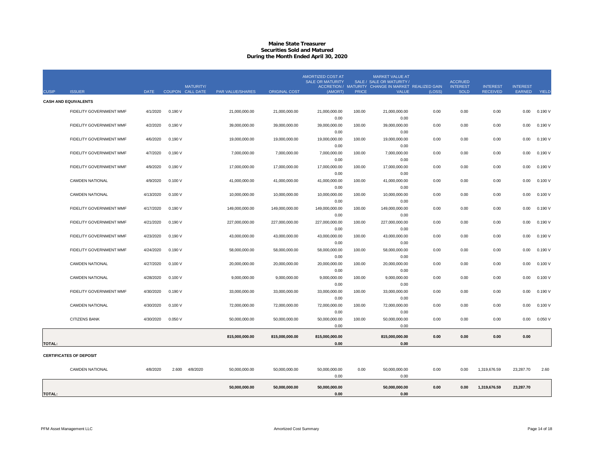#### **Maine State Treasurer Securities Sold and MaturedDuring the Month Ended April 30, 2020**

|               |                                |             |         | MATURITY/        |                         |                      | AMORTIZED COST AT<br><b>SALE OR MATURITY</b> |              | <b>MARKET VALUE AT</b><br>SALE / SALE OR MATURITY /<br>ACCRETION / MATURITY CHANGE IN MARKET REALIZED GAIN |        | <b>ACCRUED</b><br><b>INTEREST</b> | <b>INTEREST</b> | <b>INTEREST</b> |         |
|---------------|--------------------------------|-------------|---------|------------------|-------------------------|----------------------|----------------------------------------------|--------------|------------------------------------------------------------------------------------------------------------|--------|-----------------------------------|-----------------|-----------------|---------|
| <b>CUSIP</b>  | <b>ISSUER</b>                  | <b>DATE</b> |         | COUPON CALL DATE | <b>PAR VALUE/SHARES</b> | <b>ORIGINAL COST</b> | (AMORT)                                      | <b>PRICE</b> | VALUE                                                                                                      | (LOSS) | <b>SOLD</b>                       | <b>RECEIVED</b> | <b>EARNED</b>   | YIELD   |
|               | <b>CASH AND EQUIVALENTS</b>    |             |         |                  |                         |                      |                                              |              |                                                                                                            |        |                                   |                 |                 |         |
|               | FIDELITY GOVERNMENT MMF        | 4/1/2020    | 0.190V  |                  | 21.000.000.00           | 21,000,000.00        | 21.000.000.00                                | 100.00       | 21.000.000.00                                                                                              | 0.00   | 0.00                              | 0.00            | 0.00            | 0.190V  |
|               |                                |             |         |                  |                         |                      | 0.00                                         |              | 0.00                                                                                                       |        |                                   |                 |                 |         |
|               | FIDELITY GOVERNMENT MMF        | 4/2/2020    | 0.190V  |                  | 39,000,000.00           | 39,000,000.00        | 39,000,000.00                                | 100.00       | 39,000,000.00                                                                                              | 0.00   | 0.00                              | 0.00            | 0.00            | 0.190V  |
|               |                                |             |         |                  |                         |                      | 0.00                                         |              | 0.00                                                                                                       |        |                                   |                 |                 |         |
|               | FIDELITY GOVERNMENT MMF        | 4/6/2020    | 0.190V  |                  | 19,000,000.00           | 19,000,000.00        | 19,000,000.00                                | 100.00       | 19,000,000.00                                                                                              | 0.00   | 0.00                              | 0.00            | 0.00            | 0.190 V |
|               |                                |             |         |                  |                         |                      | 0.00                                         |              | 0.00                                                                                                       |        |                                   |                 |                 |         |
|               | FIDELITY GOVERNMENT MMF        | 4/7/2020    | 0.190V  |                  | 7,000,000.00            | 7,000,000.00         | 7,000,000.00                                 | 100.00       | 7,000,000.00                                                                                               | 0.00   | 0.00                              | 0.00            | 0.00            | 0.190 V |
|               |                                |             |         |                  |                         |                      | 0.00                                         |              | 0.00                                                                                                       |        |                                   |                 |                 |         |
|               | FIDELITY GOVERNMENT MMF        | 4/9/2020    | 0.190V  |                  | 17,000,000.00           | 17,000,000.00        | 17,000,000.00                                | 100.00       | 17,000,000.00                                                                                              | 0.00   | 0.00                              | 0.00            | 0.00            | 0.190 V |
|               |                                |             |         |                  |                         |                      | 0.00                                         |              | 0.00                                                                                                       |        |                                   |                 |                 |         |
|               | <b>CAMDEN NATIONAL</b>         | 4/9/2020    | 0.100V  |                  | 41,000,000.00           | 41,000,000.00        | 41,000,000.00                                | 100.00       | 41,000,000.00<br>0.00                                                                                      | 0.00   | 0.00                              | 0.00            | 0.00            | 0.100V  |
|               | <b>CAMDEN NATIONAL</b>         | 4/13/2020   | 0.100V  |                  | 10,000,000.00           | 10,000,000.00        | 0.00<br>10,000,000.00                        | 100.00       | 10,000,000.00                                                                                              | 0.00   | 0.00                              | 0.00            | 0.00            | 0.100V  |
|               |                                |             |         |                  |                         |                      | 0.00                                         |              | 0.00                                                                                                       |        |                                   |                 |                 |         |
|               | FIDELITY GOVERNMENT MMF        | 4/17/2020   | 0.190 V |                  | 149,000,000.00          | 149,000,000.00       | 149,000,000.00                               | 100.00       | 149,000,000.00                                                                                             | 0.00   | 0.00                              | 0.00            | 0.00            | 0.190V  |
|               |                                |             |         |                  |                         |                      | 0.00                                         |              | 0.00                                                                                                       |        |                                   |                 |                 |         |
|               | FIDELITY GOVERNMENT MMF        | 4/21/2020   | 0.190V  |                  | 227,000,000.00          | 227,000,000.00       | 227,000,000.00                               | 100.00       | 227,000,000.00                                                                                             | 0.00   | 0.00                              | 0.00            | 0.00            | 0.190V  |
|               |                                |             |         |                  |                         |                      | 0.00                                         |              | 0.00                                                                                                       |        |                                   |                 |                 |         |
|               | FIDELITY GOVERNMENT MMF        | 4/23/2020   | 0.190V  |                  | 43,000,000.00           | 43,000,000.00        | 43,000,000.00                                | 100.00       | 43,000,000.00                                                                                              | 0.00   | 0.00                              | 0.00            | 0.00            | 0.190 V |
|               |                                |             |         |                  |                         |                      | 0.00                                         |              | 0.00                                                                                                       |        |                                   |                 |                 |         |
|               | FIDELITY GOVERNMENT MMF        | 4/24/2020   | 0.190V  |                  | 58,000,000.00           | 58,000,000.00        | 58,000,000.00                                | 100.00       | 58,000,000.00                                                                                              | 0.00   | 0.00                              | 0.00            | 0.00            | 0.190 V |
|               |                                |             |         |                  |                         |                      | 0.00                                         |              | 0.00                                                                                                       |        |                                   |                 |                 |         |
|               | <b>CAMDEN NATIONAL</b>         | 4/27/2020   | 0.100V  |                  | 20,000,000.00           | 20,000,000.00        | 20,000,000.00                                | 100.00       | 20,000,000.00                                                                                              | 0.00   | 0.00                              | 0.00            | 0.00            | 0.100V  |
|               |                                |             |         |                  |                         |                      | 0.00                                         |              | 0.00                                                                                                       |        |                                   |                 |                 |         |
|               | <b>CAMDEN NATIONAL</b>         | 4/28/2020   | 0.100V  |                  | 9,000,000.00            | 9,000,000.00         | 9,000,000.00                                 | 100.00       | 9,000,000.00                                                                                               | 0.00   | 0.00                              | 0.00            | 0.00            | 0.100V  |
|               |                                |             |         |                  |                         |                      | 0.00                                         |              | 0.00                                                                                                       |        |                                   |                 |                 |         |
|               | FIDELITY GOVERNMENT MMF        | 4/30/2020   | 0.190V  |                  | 33,000,000.00           | 33,000,000.00        | 33,000,000.00                                | 100.00       | 33,000,000.00                                                                                              | 0.00   | 0.00                              | 0.00            | 0.00            | 0.190V  |
|               |                                |             |         |                  |                         |                      | 0.00                                         |              | 0.00                                                                                                       |        |                                   |                 |                 |         |
|               | <b>CAMDEN NATIONAL</b>         | 4/30/2020   | 0.100V  |                  | 72,000,000.00           | 72,000,000.00        | 72,000,000.00                                | 100.00       | 72,000,000.00                                                                                              | 0.00   | 0.00                              | 0.00            | 0.00            | 0.100V  |
|               |                                |             |         |                  |                         |                      | 0.00                                         |              | 0.00                                                                                                       |        |                                   |                 |                 |         |
|               | CITIZENS BANK                  | 4/30/2020   | 0.050V  |                  | 50,000,000.00           | 50,000,000.00        | 50,000,000.00                                | 100.00       | 50,000,000.00                                                                                              | 0.00   | 0.00                              | 0.00            | 0.00            | 0.050V  |
|               |                                |             |         |                  |                         |                      | 0.00                                         |              | 0.00                                                                                                       |        |                                   |                 |                 |         |
|               |                                |             |         |                  | 815,000,000.00          | 815,000,000.00       | 815,000,000.00                               |              | 815,000,000.00                                                                                             | 0.00   | 0.00                              | 0.00            | 0.00            |         |
| <b>TOTAL:</b> |                                |             |         |                  |                         |                      | 0.00                                         |              | 0.00                                                                                                       |        |                                   |                 |                 |         |
|               | <b>CERTIFICATES OF DEPOSIT</b> |             |         |                  |                         |                      |                                              |              |                                                                                                            |        |                                   |                 |                 |         |
|               | <b>CAMDEN NATIONAL</b>         | 4/8/2020    | 2.600   | 4/8/2020         | 50,000,000.00           | 50,000,000.00        | 50,000,000.00                                | 0.00         | 50,000,000.00                                                                                              | 0.00   | 0.00                              | 1,319,676.59    | 23,287.70       | 2.60    |
|               |                                |             |         |                  |                         |                      | 0.00                                         |              | 0.00                                                                                                       |        |                                   |                 |                 |         |
|               |                                |             |         |                  |                         |                      |                                              |              |                                                                                                            |        |                                   |                 |                 |         |
|               |                                |             |         |                  | 50,000,000.00           | 50,000,000.00        | 50,000,000.00                                |              | 50,000,000.00                                                                                              | 0.00   | 0.00                              | 1,319,676.59    | 23,287.70       |         |
| <b>TOTAL:</b> |                                |             |         |                  |                         |                      | 0.00                                         |              | 0.00                                                                                                       |        |                                   |                 |                 |         |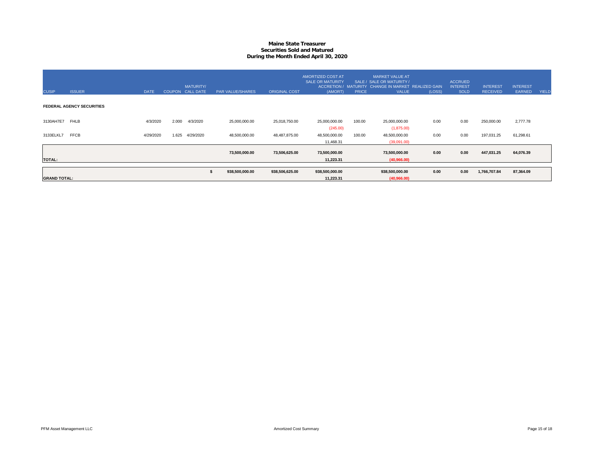#### **Maine State Treasurer Securities Sold and MaturedDuring the Month Ended April 30, 2020**

| <b>CUSIP</b>        | <b>ISSUER</b>                    | <b>DATE</b> |       | <b>MATURITY/</b><br>COUPON CALL DATE | PAR VALUE/SHARES      | <b>ORIGINAL COST</b> | AMORTIZED COST AT<br><b>SALE OR MATURITY</b><br>(AMORT) | <b>PRICE</b> | <b>MARKET VALUE AT</b><br>SALE / SALE OR MATURITY /<br>ACCRETION / MATURITY CHANGE IN MARKET REALIZED GAIN<br><b>VALUE</b> | (LOSS) | <b>ACCRUED</b><br><b>INTEREST</b><br><b>SOLD</b> | <b>INTEREST</b><br><b>RECEIVED</b> | <b>INTEREST</b><br>EARNED | <b>YIELD</b> |
|---------------------|----------------------------------|-------------|-------|--------------------------------------|-----------------------|----------------------|---------------------------------------------------------|--------------|----------------------------------------------------------------------------------------------------------------------------|--------|--------------------------------------------------|------------------------------------|---------------------------|--------------|
|                     | <b>FEDERAL AGENCY SECURITIES</b> |             |       |                                      |                       |                      |                                                         |              |                                                                                                                            |        |                                                  |                                    |                           |              |
| 3130AH7E7 FHLB      |                                  | 4/3/2020    | 2.000 | 4/3/2020                             | 25,000,000.00         | 25,018,750.00        | 25,000,000.00<br>(245.00)                               | 100.00       | 25,000,000.00<br>(1,875.00)                                                                                                | 0.00   | 0.00                                             | 250,000.00                         | 2,777.78                  |              |
| 3133ELKL7           | <b>FFCB</b>                      | 4/29/2020   | 1.625 | 4/29/2020                            | 48,500,000.00         | 48,487,875.00        | 48,500,000.00<br>11,468.31                              | 100.00       | 48,500,000.00<br>(39,091.00)                                                                                               | 0.00   | 0.00                                             | 197,031.25                         | 61,298.61                 |              |
| <b>TOTAL:</b>       |                                  |             |       |                                      | 73,500,000.00         | 73,506,625.00        | 73,500,000.00<br>11,223.31                              |              | 73,500,000.00<br>(40,966.00)                                                                                               | 0.00   | 0.00                                             | 447,031.25                         | 64,076.39                 |              |
|                     |                                  |             |       |                                      | 938,500,000.00<br>- 5 | 938,506,625.00       | 938,500,000.00                                          |              | 938,500,000.00                                                                                                             | 0.00   | 0.00                                             | 1,766,707.84                       | 87,364.09                 |              |
| <b>GRAND TOTAL:</b> |                                  |             |       |                                      |                       |                      | 11.223.31                                               |              | (40,966.00)                                                                                                                |        |                                                  |                                    |                           |              |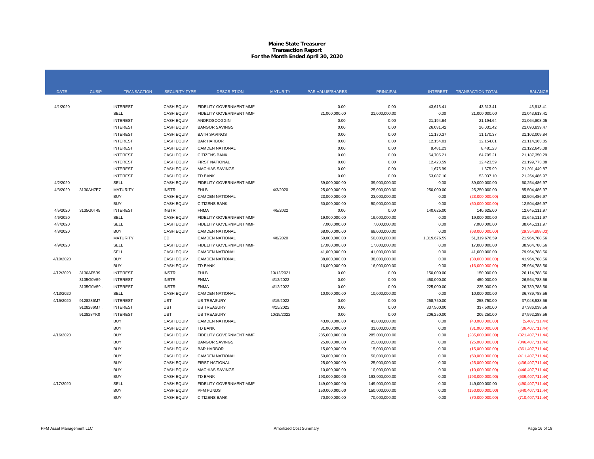#### **Maine State Treasurer Transaction Report For the Month Ended April 30, 2020**

| <b>DATE</b> | <b>CUSIP</b> | <b>TRANSACTION</b> | <b>SECURITY TYPE</b> | <b>DESCRIPTION</b>             | <b>MATURITY</b> | PAR VALUE/SHARES | <b>PRINCIPAL</b> | <b>INTEREST</b> | <b>TRANSACTION TOTAL</b> | <b>BALANCE</b>     |
|-------------|--------------|--------------------|----------------------|--------------------------------|-----------------|------------------|------------------|-----------------|--------------------------|--------------------|
|             |              |                    |                      |                                |                 |                  |                  |                 |                          |                    |
| 4/1/2020    |              | <b>INTEREST</b>    | <b>CASH EQUIV</b>    | FIDELITY GOVERNMENT MMF        |                 | 0.00             | 0.00             | 43,613.41       | 43,613.41                | 43,613.41          |
|             |              | <b>SELL</b>        | <b>CASH EQUIV</b>    | FIDELITY GOVERNMENT MMF        |                 | 21,000,000.00    | 21,000,000.00    | 0.00            | 21,000,000.00            | 21,043,613.41      |
|             |              | <b>INTEREST</b>    | <b>CASH EQUIV</b>    | ANDROSCOGGIN                   |                 | 0.00             | 0.00             | 21,194.64       | 21,194.64                | 21,064,808.05      |
|             |              | <b>INTEREST</b>    | <b>CASH EQUIV</b>    | <b>BANGOR SAVINGS</b>          |                 | 0.00             | 0.00             | 26,031.42       | 26,031.42                | 21,090,839.47      |
|             |              | <b>INTEREST</b>    | <b>CASH EQUIV</b>    | <b>BATH SAVINGS</b>            |                 | 0.00             | 0.00             | 11,170.37       | 11,170.37                | 21,102,009.84      |
|             |              | <b>INTEREST</b>    | <b>CASH EQUIV</b>    | <b>BAR HARBOR</b>              |                 | 0.00             | 0.00             | 12,154.01       | 12,154.01                | 21,114,163.85      |
|             |              | <b>INTEREST</b>    | <b>CASH EQUIV</b>    | <b>CAMDEN NATIONAL</b>         |                 | 0.00             | 0.00             | 8,481.23        | 8,481.23                 | 21,122,645.08      |
|             |              | <b>INTEREST</b>    | <b>CASH EQUIV</b>    | CITIZENS BANK                  |                 | 0.00             | 0.00             | 64,705.21       | 64,705.21                | 21,187,350.29      |
|             |              | <b>INTEREST</b>    | <b>CASH EQUIV</b>    | <b>FIRST NATIONAL</b>          |                 | 0.00             | 0.00             | 12,423.59       | 12,423.59                | 21,199,773.88      |
|             |              | <b>INTEREST</b>    | <b>CASH EQUIV</b>    | <b>MACHIAS SAVINGS</b>         |                 | 0.00             | 0.00             | 1,675.99        | 1,675.99                 | 21,201,449.87      |
|             |              | <b>INTEREST</b>    | <b>CASH EQUIV</b>    | <b>TD BANK</b>                 |                 | 0.00             | 0.00             | 53,037.10       | 53,037.10                | 21,254,486.97      |
| 4/2/2020    |              | <b>SELL</b>        | <b>CASH EQUIV</b>    | <b>FIDELITY GOVERNMENT MMF</b> |                 | 39,000,000.00    | 39,000,000.00    | 0.00            | 39,000,000.00            | 60,254,486.97      |
| 4/3/2020    | 3130AH7E7    | <b>MATURITY</b>    | <b>INSTR</b>         | <b>FHLB</b>                    | 4/3/2020        | 25,000,000.00    | 25,000,000.00    | 250,000.00      | 25,250,000.00            | 85,504,486.97      |
|             |              | <b>BUY</b>         | <b>CASH EQUIV</b>    | <b>CAMDEN NATIONAL</b>         |                 | 23,000,000.00    | 23,000,000.00    | 0.00            | (23,000,000.00)          | 62,504,486.97      |
|             |              | <b>BUY</b>         | <b>CASH EQUIV</b>    | <b>CITIZENS BANK</b>           |                 | 50,000,000.00    | 50,000,000.00    | 0.00            | (50,000,000.00)          | 12,504,486.97      |
| 4/5/2020    | 3135G0T45    | <b>INTEREST</b>    | <b>INSTR</b>         | <b>FNMA</b>                    | 4/5/2022        | 0.00             | 0.00             | 140,625.00      | 140,625.00               | 12,645,111.97      |
| 4/6/2020    |              | SELL               | <b>CASH EQUIV</b>    | <b>FIDELITY GOVERNMENT MMF</b> |                 | 19,000,000.00    | 19,000,000.00    | 0.00            | 19,000,000.00            | 31,645,111.97      |
| 4/7/2020    |              | SELL               | <b>CASH EQUIV</b>    | FIDELITY GOVERNMENT MMF        |                 | 7,000,000.00     | 7,000,000.00     | 0.00            | 7,000,000.00             | 38,645,111.97      |
| 4/8/2020    |              | <b>BUY</b>         | <b>CASH EQUIV</b>    | <b>CAMDEN NATIONAL</b>         |                 | 68,000,000.00    | 68,000,000.00    | 0.00            | (68,000,000.00)          | (29, 354, 888.03)  |
|             |              | <b>MATURITY</b>    | CD                   | <b>CAMDEN NATIONAL</b>         | 4/8/2020        | 50,000,000.00    | 50,000,000.00    | 1,319,676.59    | 51,319,676.59            | 21,964,788.56      |
| 4/9/2020    |              | SELL               | <b>CASH EQUIV</b>    | FIDELITY GOVERNMENT MMF        |                 | 17,000,000.00    | 17,000,000.00    | 0.00            | 17,000,000.00            | 38,964,788.56      |
|             |              | SELL               | <b>CASH EQUIV</b>    | <b>CAMDEN NATIONAL</b>         |                 | 41,000,000.00    | 41,000,000.00    | 0.00            | 41,000,000.00            | 79,964,788.56      |
| 4/10/2020   |              | <b>BUY</b>         | <b>CASH EQUIV</b>    | <b>CAMDEN NATIONAL</b>         |                 | 38,000,000.00    | 38,000,000.00    | 0.00            | (38,000,000.00)          | 41,964,788.56      |
|             |              | <b>BUY</b>         | <b>CASH EQUIV</b>    | <b>TD BANK</b>                 |                 | 16,000,000.00    | 16,000,000.00    | 0.00            | (16,000,000.00)          | 25,964,788.56      |
| 4/12/2020   | 3130AF5B9    | <b>INTEREST</b>    | <b>INSTR</b>         | <b>FHLB</b>                    | 10/12/2021      | 0.00             | 0.00             | 150,000.00      | 150,000.00               | 26,114,788.56      |
|             | 3135G0V59    | <b>INTEREST</b>    | <b>INSTR</b>         | <b>FNMA</b>                    | 4/12/2022       | 0.00             | 0.00             | 450,000.00      | 450,000.00               | 26,564,788.56      |
|             | 3135G0V59    | <b>INTEREST</b>    | <b>INSTR</b>         | <b>FNMA</b>                    | 4/12/2022       | 0.00             | 0.00             | 225,000.00      | 225,000.00               | 26,789,788.56      |
| 4/13/2020   |              | SELL               | <b>CASH EQUIV</b>    | <b>CAMDEN NATIONAL</b>         |                 | 10,000,000.00    | 10,000,000.00    | 0.00            | 10,000,000.00            | 36,789,788.56      |
| 4/15/2020   | 9128286M7    | <b>INTEREST</b>    | <b>UST</b>           | <b>US TREASURY</b>             | 4/15/2022       | 0.00             | 0.00             | 258,750.00      | 258,750.00               | 37,048,538.56      |
|             | 9128286M7    | <b>INTEREST</b>    | <b>UST</b>           | <b>US TREASURY</b>             | 4/15/2022       | 0.00             | 0.00             | 337,500.00      | 337,500.00               | 37,386,038.56      |
|             | 912828YK0    | <b>INTEREST</b>    | <b>UST</b>           | <b>US TREASURY</b>             | 10/15/2022      | 0.00             | 0.00             | 206,250.00      | 206,250.00               | 37,592,288.56      |
|             |              | <b>BUY</b>         | <b>CASH EQUIV</b>    | <b>CAMDEN NATIONAL</b>         |                 | 43,000,000.00    | 43,000,000.00    | 0.00            | (43,000,000.00)          | (5,407,711.44)     |
|             |              | <b>BUY</b>         | <b>CASH EQUIV</b>    | <b>TD BANK</b>                 |                 | 31,000,000.00    | 31,000,000.00    | 0.00            | (31,000,000.00)          | (36, 407, 711.44)  |
| 4/16/2020   |              | <b>BUY</b>         | <b>CASH EQUIV</b>    | FIDELITY GOVERNMENT MMF        |                 | 285,000,000.00   | 285,000,000.00   | 0.00            | (285,000,000.00)         | (321, 407, 711.44) |
|             |              | <b>BUY</b>         | <b>CASH EQUIV</b>    | <b>BANGOR SAVINGS</b>          |                 | 25,000,000.00    | 25,000,000.00    | 0.00            | (25,000,000.00)          | (346, 407, 711.44) |
|             |              | <b>BUY</b>         | <b>CASH EQUIV</b>    | <b>BAR HARBOR</b>              |                 | 15,000,000.00    | 15,000,000.00    | 0.00            | (15,000,000.00)          | (361, 407, 711.44) |
|             |              | <b>BUY</b>         | <b>CASH EQUIV</b>    | <b>CAMDEN NATIONAL</b>         |                 | 50,000,000.00    | 50,000,000.00    | 0.00            | (50,000,000.00)          | (411, 407, 711.44) |
|             |              | <b>BUY</b>         | <b>CASH EQUIV</b>    | FIRST NATIONAL                 |                 | 25,000,000.00    | 25,000,000.00    | 0.00            | (25,000,000.00)          | (436, 407, 711.44) |
|             |              | <b>BUY</b>         | <b>CASH EQUIV</b>    | <b>MACHIAS SAVINGS</b>         |                 | 10,000,000.00    | 10,000,000.00    | 0.00            | (10,000,000.00)          | (446, 407, 711.44) |
|             |              | <b>BUY</b>         | <b>CASH EQUIV</b>    | <b>TD BANK</b>                 |                 | 193,000,000.00   | 193,000,000.00   | 0.00            | (193,000,000.00)         | (639, 407, 711.44) |
| 4/17/2020   |              | SELL               | <b>CASH EQUIV</b>    | FIDELITY GOVERNMENT MMF        |                 | 149,000,000.00   | 149,000,000.00   | 0.00            | 149,000,000.00           | (490, 407, 711.44) |
|             |              | <b>BUY</b>         | <b>CASH EQUIV</b>    | PFM FUNDS                      |                 | 150,000,000.00   | 150,000,000.00   | 0.00            | (150,000,000.00)         | (640, 407, 711.44) |
|             |              | <b>BUY</b>         | <b>CASH EQUIV</b>    | <b>CITIZENS BANK</b>           |                 | 70,000,000.00    | 70,000,000.00    | 0.00            | (70,000,000.00)          | (710, 407, 711.44) |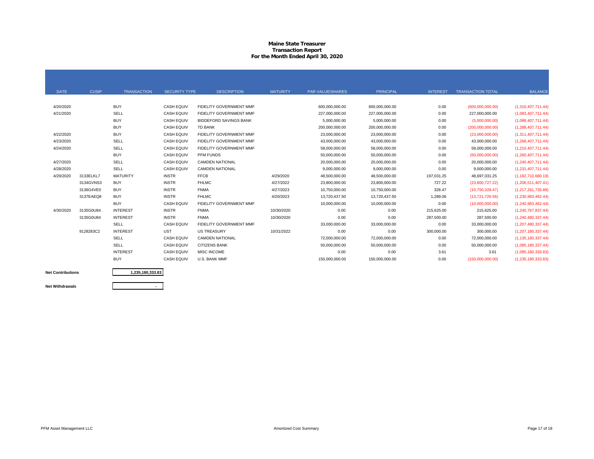#### **Maine State Treasurer Transaction Report For the Month Ended April 30, 2020**

| <b>DATE</b> | <b>CUSIP</b> | <b>TRANSACTION</b> | <b>SECURITY TYPE</b> | <b>DESCRIPTION</b>            | <b>MATURITY</b> | <b>PAR VALUE/SHARES</b> | <b>PRINCIPAL</b> | <b>INTEREST</b> | <b>TRANSACTION TOTAL</b> | <b>BALANCE</b>        |
|-------------|--------------|--------------------|----------------------|-------------------------------|-----------------|-------------------------|------------------|-----------------|--------------------------|-----------------------|
|             |              |                    |                      |                               |                 |                         |                  |                 |                          |                       |
| 4/20/2020   |              | <b>BUY</b>         | <b>CASH EQUIV</b>    | FIDELITY GOVERNMENT MMF       |                 | 600,000,000.00          | 600,000,000.00   | 0.00            | (600,000,000.00)         | (1,310,407,711.44)    |
| 4/21/2020   |              | SELL               | <b>CASH EQUIV</b>    | FIDELITY GOVERNMENT MMF       |                 | 227,000,000.00          | 227,000,000.00   | 0.00            | 227,000,000.00           | (1,083,407,711.44)    |
|             |              | <b>BUY</b>         | <b>CASH EQUIV</b>    | <b>BIDDEFORD SAVINGS BANK</b> |                 | 5,000,000.00            | 5,000,000.00     | 0.00            | (5,000,000.00)           | (1,088,407,711.44)    |
|             |              | <b>BUY</b>         | <b>CASH EQUIV</b>    | <b>TD BANK</b>                |                 | 200,000,000.00          | 200,000,000.00   | 0.00            | (200,000,000.00)         | (1,288,407,711.44)    |
| 4/22/2020   |              | <b>BUY</b>         | <b>CASH EQUIV</b>    | FIDELITY GOVERNMENT MMF       |                 | 23,000,000.00           | 23,000,000.00    | 0.00            | (23,000,000.00)          | (1,311,407,711.44)    |
| 4/23/2020   |              | SELL               | <b>CASH EQUIV</b>    | FIDELITY GOVERNMENT MMF       |                 | 43,000,000.00           | 43,000,000.00    | 0.00            | 43,000,000.00            | (1,268,407,711.44)    |
| 4/24/2020   |              | SELL               | <b>CASH EQUIV</b>    | FIDELITY GOVERNMENT MMF       |                 | 58,000,000.00           | 58,000,000.00    | 0.00            | 58,000,000.00            | (1, 210, 407, 711.44) |
|             |              | <b>BUY</b>         | <b>CASH EQUIV</b>    | PFM FUNDS                     |                 | 50,000,000.00           | 50,000,000.00    | 0.00            | (50,000,000.00)          | (1,260,407,711.44)    |
| 4/27/2020   |              | SELL               | <b>CASH EQUIV</b>    | <b>CAMDEN NATIONAL</b>        |                 | 20,000,000.00           | 20,000,000.00    | 0.00            | 20,000,000.00            | (1,240,407,711.44)    |
| 4/28/2020   |              | SELL               | <b>CASH EQUIV</b>    | <b>CAMDEN NATIONAL</b>        |                 | 9.000.000.00            | 9,000,000.00     | 0.00            | 9,000,000.00             | (1,231,407,711.44)    |
| 4/29/2020   | 3133ELKL7    | <b>MATURITY</b>    | <b>INSTR</b>         | <b>FFCB</b>                   | 4/29/2020       | 48,500,000.00           | 48,500,000.00    | 197,031.25      | 48,697,031.25            | (1, 182, 710, 680.19) |
|             | 3134GVNS3    | <b>BUY</b>         | <b>INSTR</b>         | <b>FHLMC</b>                  | 4/27/2022       | 23,800,000.00           | 23,800,000.00    | 727.22          | (23,800,727.22)          | (1,206,511,407.41)    |
|             | 3136G4VE0    | <b>BUY</b>         | <b>INSTR</b>         | <b>FNMA</b>                   | 4/27/2023       | 10.750.000.00           | 10,750,000.00    | 328.47          | (10,750,328.47)          | (1,217,261,735.88)    |
|             | 3137EAEQ8    | <b>BUY</b>         | <b>INSTR</b>         | <b>FHLMC</b>                  | 4/20/2023       | 13,720,437.50           | 13,720,437.50    | 1,289.06        | (13,721,726.56)          | (1,230,983,462.44)    |
|             |              | <b>BUY</b>         | <b>CASH EQUIV</b>    | FIDELITY GOVERNMENT MMF       |                 | 10,000,000.00           | 10,000,000.00    | 0.00            | (10,000,000.00)          | (1,240,983,462.44)    |
| 4/30/2020   | 3135G0U84    | <b>INTEREST</b>    | <b>INSTR</b>         | <b>FNMA</b>                   | 10/30/2020      | 0.00                    | 0.00             | 215,625.00      | 215,625.00               | (1,240,767,837.44)    |
|             | 3135G0U84    | <b>INTEREST</b>    | <b>INSTR</b>         | <b>FNMA</b>                   | 10/30/2020      | 0.00                    | 0.00             | 287,500.00      | 287.500.00               | (1,240,480,337.44)    |
|             |              | <b>SELL</b>        | <b>CASH EQUIV</b>    | FIDELITY GOVERNMENT MMF       |                 | 33,000,000.00           | 33,000,000.00    | 0.00            | 33,000,000.00            | (1,207,480,337.44)    |
|             | 9128283C2    | <b>INTEREST</b>    | <b>UST</b>           | <b>US TREASURY</b>            | 10/31/2022      | 0.00                    | 0.00             | 300,000.00      | 300,000.00               | (1,207,180,337.44)    |
|             |              | SELL               | <b>CASH EQUIV</b>    | <b>CAMDEN NATIONAL</b>        |                 | 72,000,000.00           | 72,000,000.00    | 0.00            | 72,000,000.00            | (1, 135, 180, 337.44) |
|             |              | SELL               | <b>CASH EQUIV</b>    | <b>CITIZENS BANK</b>          |                 | 50,000,000.00           | 50,000,000.00    | 0.00            | 50,000,000.00            | (1,085,180,337.44)    |
|             |              | <b>INTEREST</b>    | <b>CASH EQUIV</b>    | <b>MISC INCOME</b>            |                 | 0.00                    | 0.00             | 3.61            | 3.61                     | (1,085,180,333.83)    |
|             |              | <b>BUY</b>         | <b>CASH EQUIV</b>    | U.S. BANK MMF                 |                 | 150,000,000.00          | 150,000,000.00   | 0.00            | (150,000,000.00)         | (1,235,180,333.83)    |
|             |              |                    |                      |                               |                 |                         |                  |                 |                          |                       |

**Net Contributions**

**1,235,180,333.83**

**Net Withdrawals**

**-**